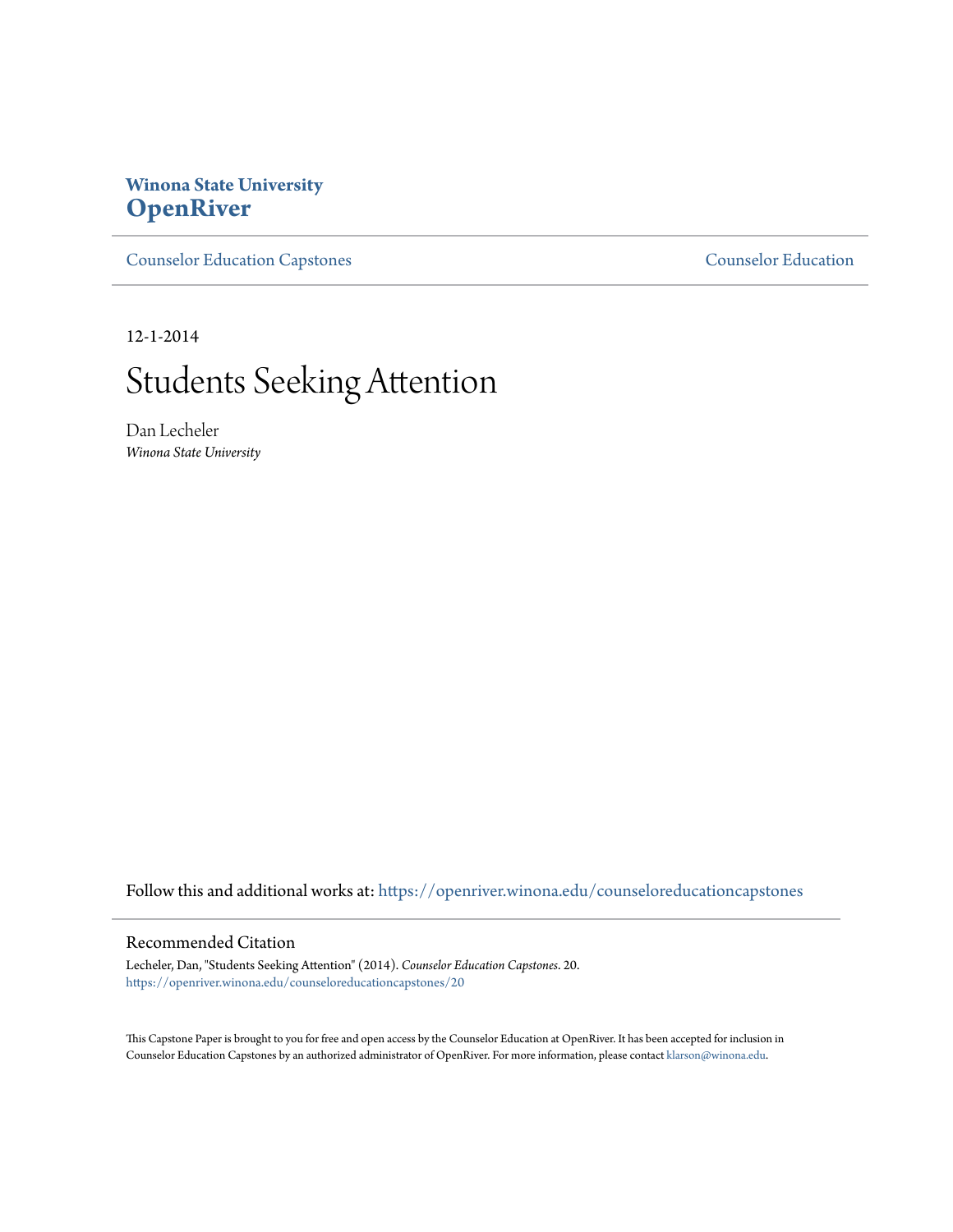# **Winona State University [OpenRiver](https://openriver.winona.edu?utm_source=openriver.winona.edu%2Fcounseloreducationcapstones%2F20&utm_medium=PDF&utm_campaign=PDFCoverPages)**

[Counselor Education Capstones](https://openriver.winona.edu/counseloreducationcapstones?utm_source=openriver.winona.edu%2Fcounseloreducationcapstones%2F20&utm_medium=PDF&utm_campaign=PDFCoverPages) [Counselor Education](https://openriver.winona.edu/counseloreducation?utm_source=openriver.winona.edu%2Fcounseloreducationcapstones%2F20&utm_medium=PDF&utm_campaign=PDFCoverPages)

12-1-2014

# Students Seeking Attention

Dan Lecheler *Winona State University*

Follow this and additional works at: [https://openriver.winona.edu/counseloreducationcapstones](https://openriver.winona.edu/counseloreducationcapstones?utm_source=openriver.winona.edu%2Fcounseloreducationcapstones%2F20&utm_medium=PDF&utm_campaign=PDFCoverPages)

#### Recommended Citation

Lecheler, Dan, "Students Seeking Attention" (2014). *Counselor Education Capstones*. 20. [https://openriver.winona.edu/counseloreducationcapstones/20](https://openriver.winona.edu/counseloreducationcapstones/20?utm_source=openriver.winona.edu%2Fcounseloreducationcapstones%2F20&utm_medium=PDF&utm_campaign=PDFCoverPages)

This Capstone Paper is brought to you for free and open access by the Counselor Education at OpenRiver. It has been accepted for inclusion in Counselor Education Capstones by an authorized administrator of OpenRiver. For more information, please contact [klarson@winona.edu](mailto:klarson@winona.edu).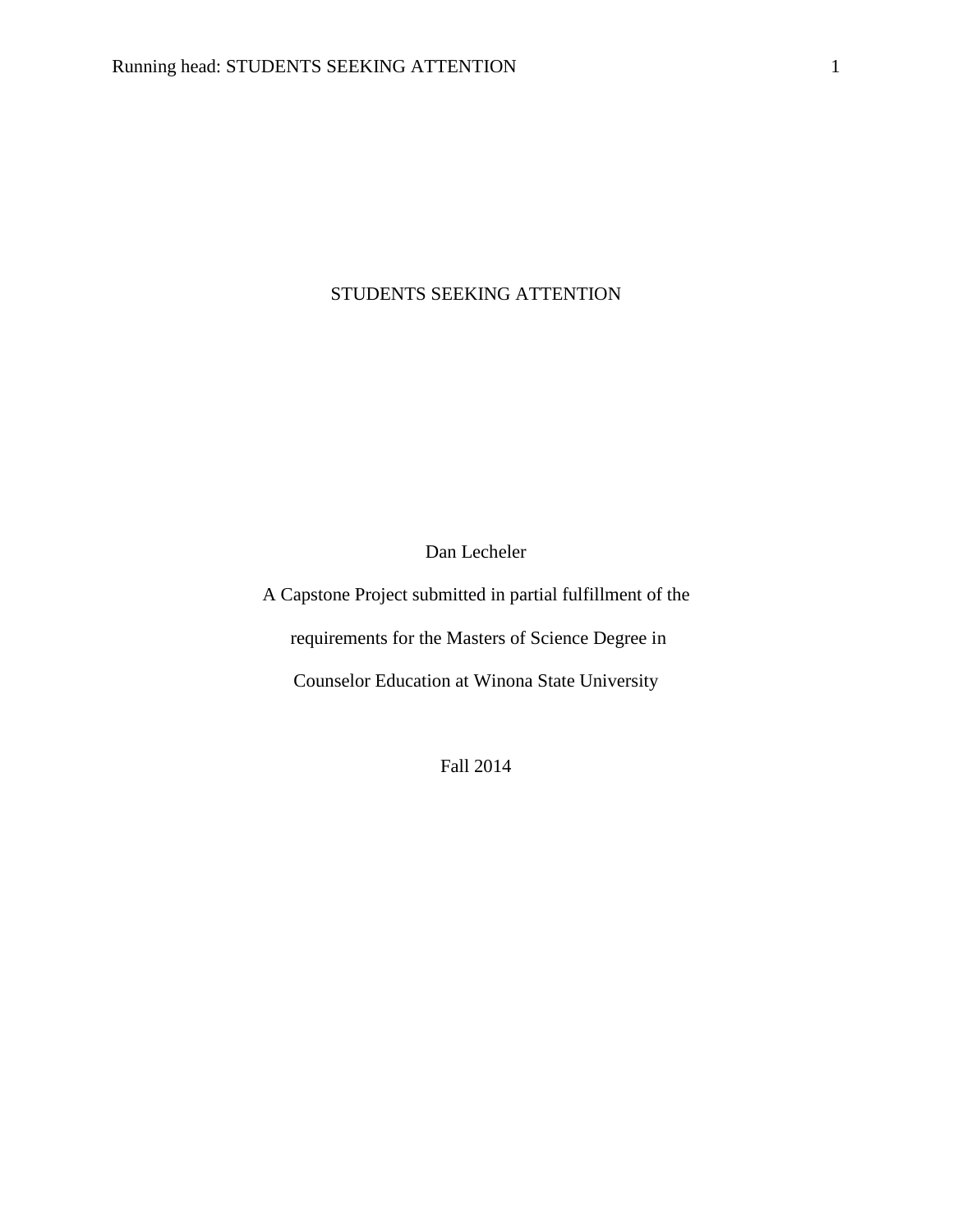## STUDENTS SEEKING ATTENTION

Dan Lecheler

A Capstone Project submitted in partial fulfillment of the requirements for the Masters of Science Degree in Counselor Education at Winona State University

Fall 2014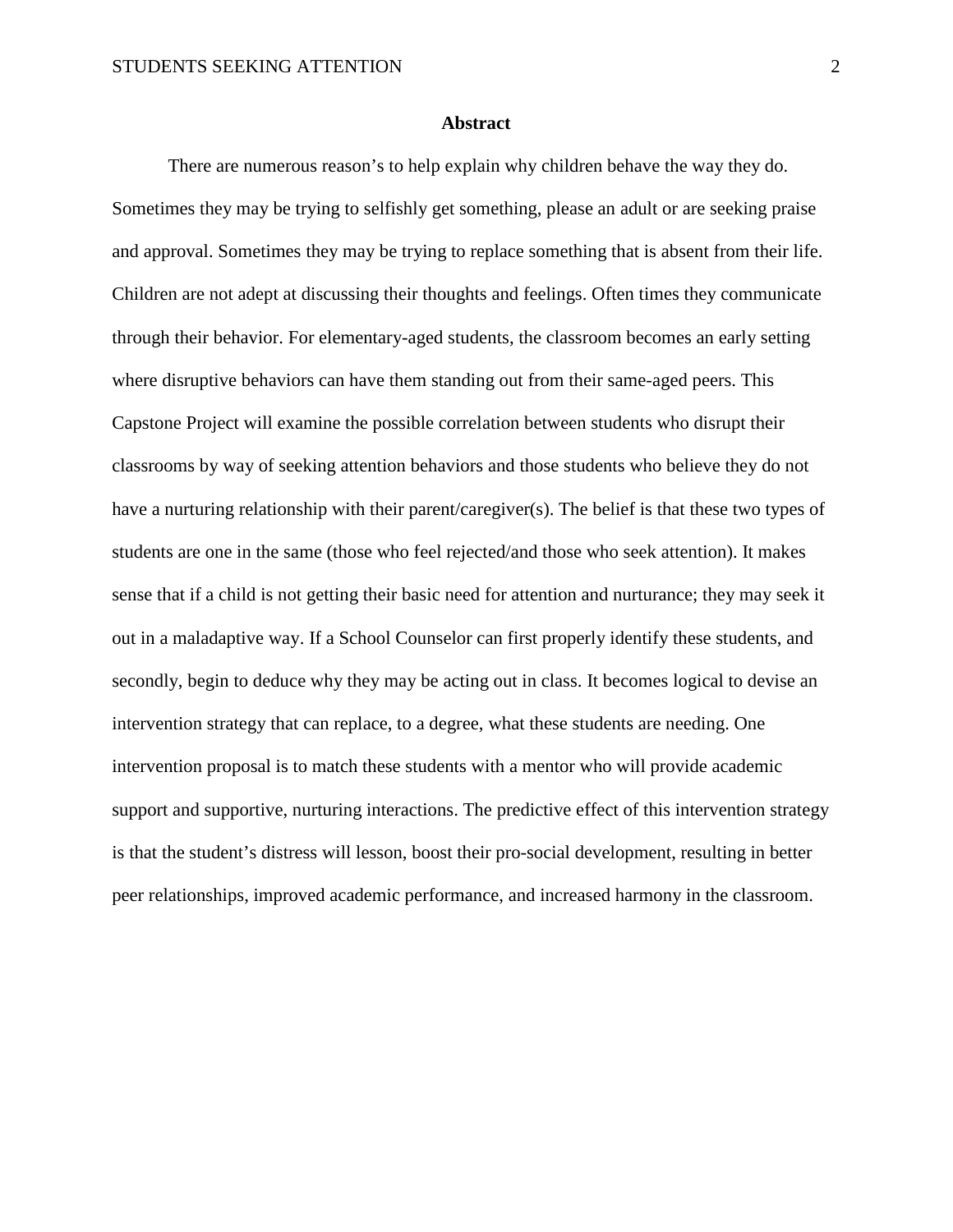#### **Abstract**

There are numerous reason's to help explain why children behave the way they do. Sometimes they may be trying to selfishly get something, please an adult or are seeking praise and approval. Sometimes they may be trying to replace something that is absent from their life. Children are not adept at discussing their thoughts and feelings. Often times they communicate through their behavior. For elementary-aged students, the classroom becomes an early setting where disruptive behaviors can have them standing out from their same-aged peers. This Capstone Project will examine the possible correlation between students who disrupt their classrooms by way of seeking attention behaviors and those students who believe they do not have a nurturing relationship with their parent/caregiver(s). The belief is that these two types of students are one in the same (those who feel rejected/and those who seek attention). It makes sense that if a child is not getting their basic need for attention and nurturance; they may seek it out in a maladaptive way. If a School Counselor can first properly identify these students, and secondly, begin to deduce why they may be acting out in class. It becomes logical to devise an intervention strategy that can replace, to a degree, what these students are needing. One intervention proposal is to match these students with a mentor who will provide academic support and supportive, nurturing interactions. The predictive effect of this intervention strategy is that the student's distress will lesson, boost their pro-social development, resulting in better peer relationships, improved academic performance, and increased harmony in the classroom.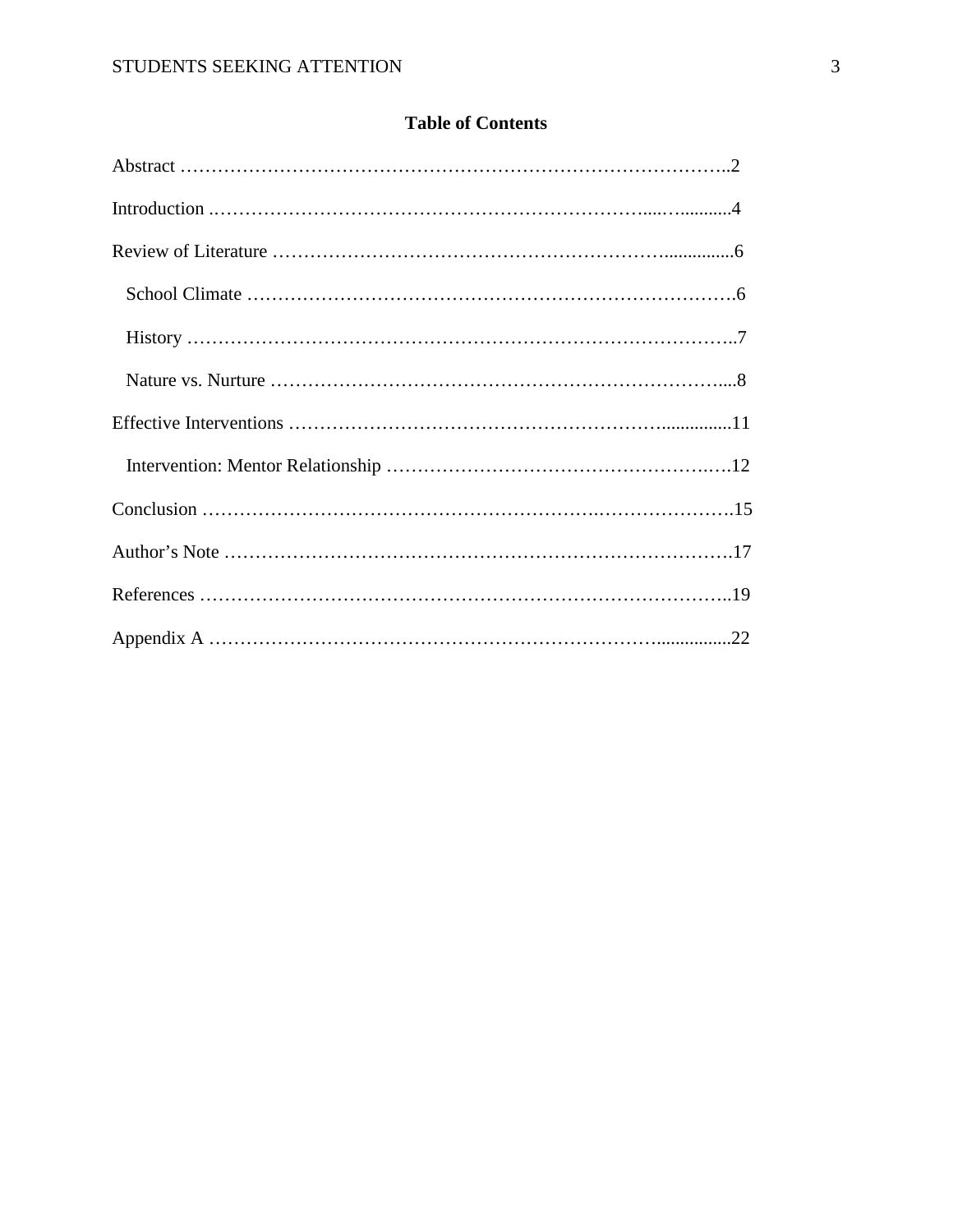## **Table of Contents**

| $History \dots 7$ |
|-------------------|
|                   |
|                   |
|                   |
|                   |
|                   |
|                   |
|                   |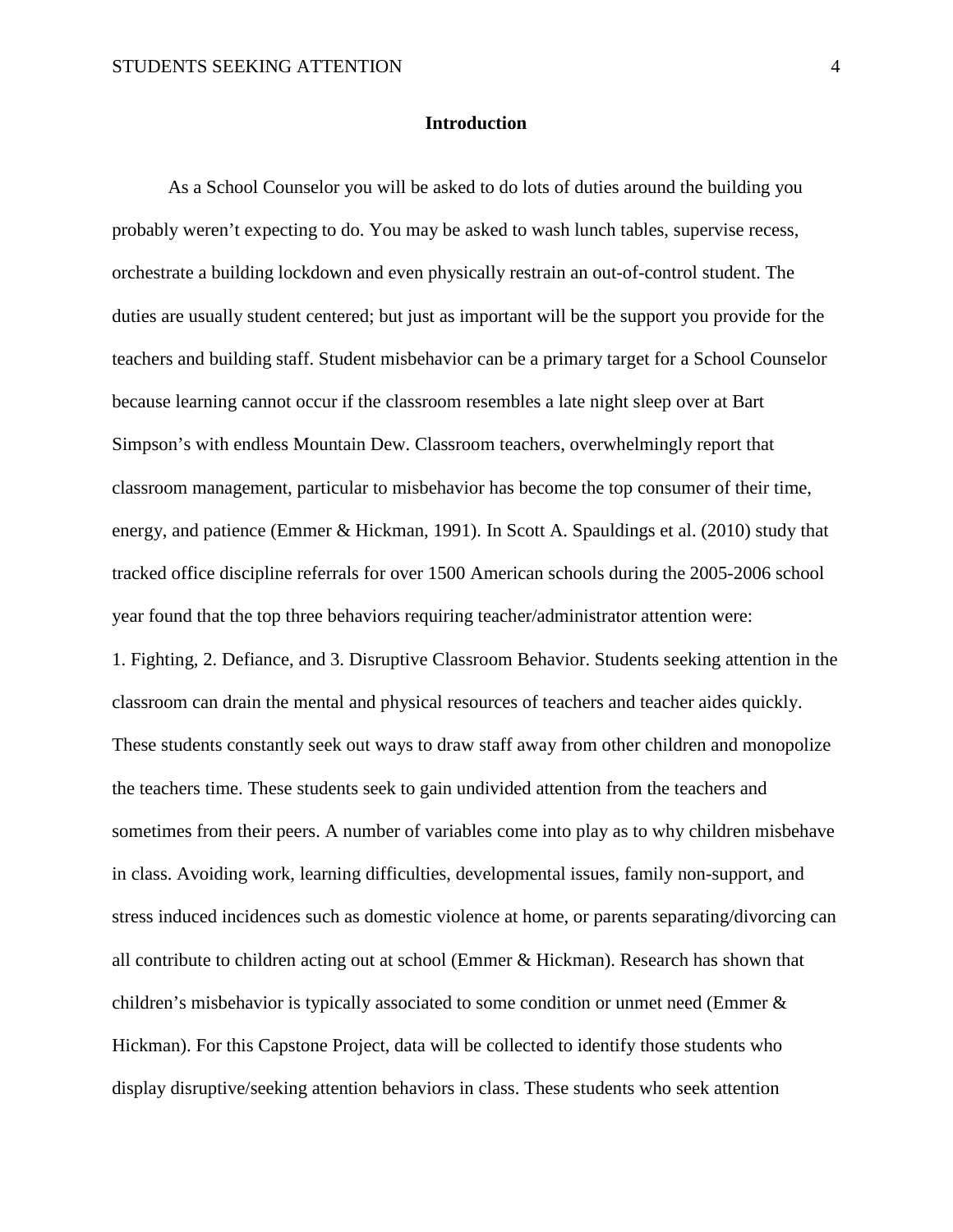#### **Introduction**

As a School Counselor you will be asked to do lots of duties around the building you probably weren't expecting to do. You may be asked to wash lunch tables, supervise recess, orchestrate a building lockdown and even physically restrain an out-of-control student. The duties are usually student centered; but just as important will be the support you provide for the teachers and building staff. Student misbehavior can be a primary target for a School Counselor because learning cannot occur if the classroom resembles a late night sleep over at Bart Simpson's with endless Mountain Dew. Classroom teachers, overwhelmingly report that classroom management, particular to misbehavior has become the top consumer of their time, energy, and patience (Emmer & Hickman, 1991). In Scott A. Spauldings et al. (2010) study that tracked office discipline referrals for over 1500 American schools during the 2005-2006 school year found that the top three behaviors requiring teacher/administrator attention were: 1. Fighting, 2. Defiance, and 3. Disruptive Classroom Behavior. Students seeking attention in the classroom can drain the mental and physical resources of teachers and teacher aides quickly. These students constantly seek out ways to draw staff away from other children and monopolize the teachers time. These students seek to gain undivided attention from the teachers and sometimes from their peers. A number of variables come into play as to why children misbehave in class. Avoiding work, learning difficulties, developmental issues, family non-support, and stress induced incidences such as domestic violence at home, or parents separating/divorcing can all contribute to children acting out at school (Emmer & Hickman). Research has shown that children's misbehavior is typically associated to some condition or unmet need (Emmer & Hickman). For this Capstone Project, data will be collected to identify those students who display disruptive/seeking attention behaviors in class. These students who seek attention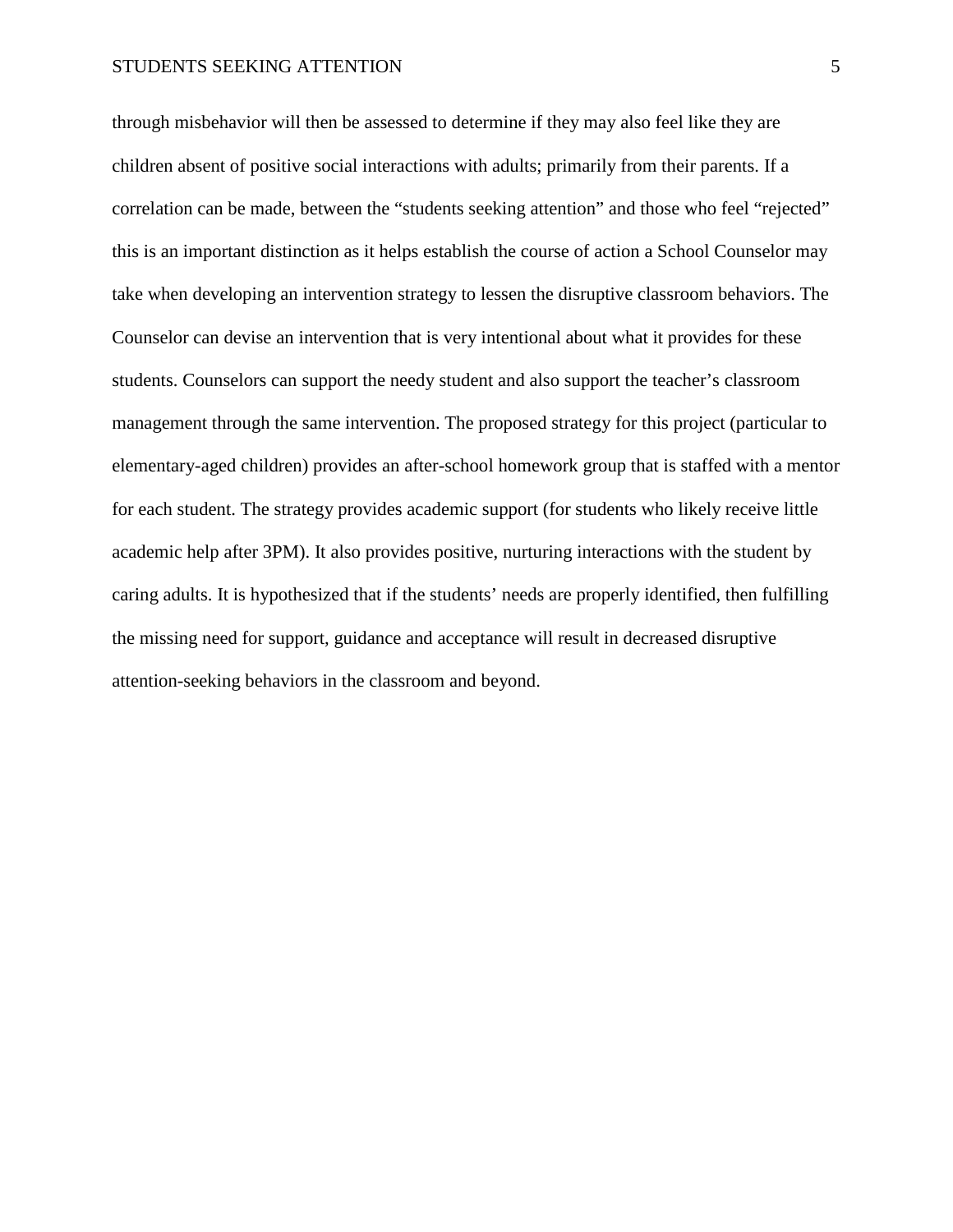through misbehavior will then be assessed to determine if they may also feel like they are children absent of positive social interactions with adults; primarily from their parents. If a correlation can be made, between the "students seeking attention" and those who feel "rejected" this is an important distinction as it helps establish the course of action a School Counselor may take when developing an intervention strategy to lessen the disruptive classroom behaviors. The Counselor can devise an intervention that is very intentional about what it provides for these students. Counselors can support the needy student and also support the teacher's classroom management through the same intervention. The proposed strategy for this project (particular to elementary-aged children) provides an after-school homework group that is staffed with a mentor for each student. The strategy provides academic support (for students who likely receive little academic help after 3PM). It also provides positive, nurturing interactions with the student by caring adults. It is hypothesized that if the students' needs are properly identified, then fulfilling the missing need for support, guidance and acceptance will result in decreased disruptive attention-seeking behaviors in the classroom and beyond.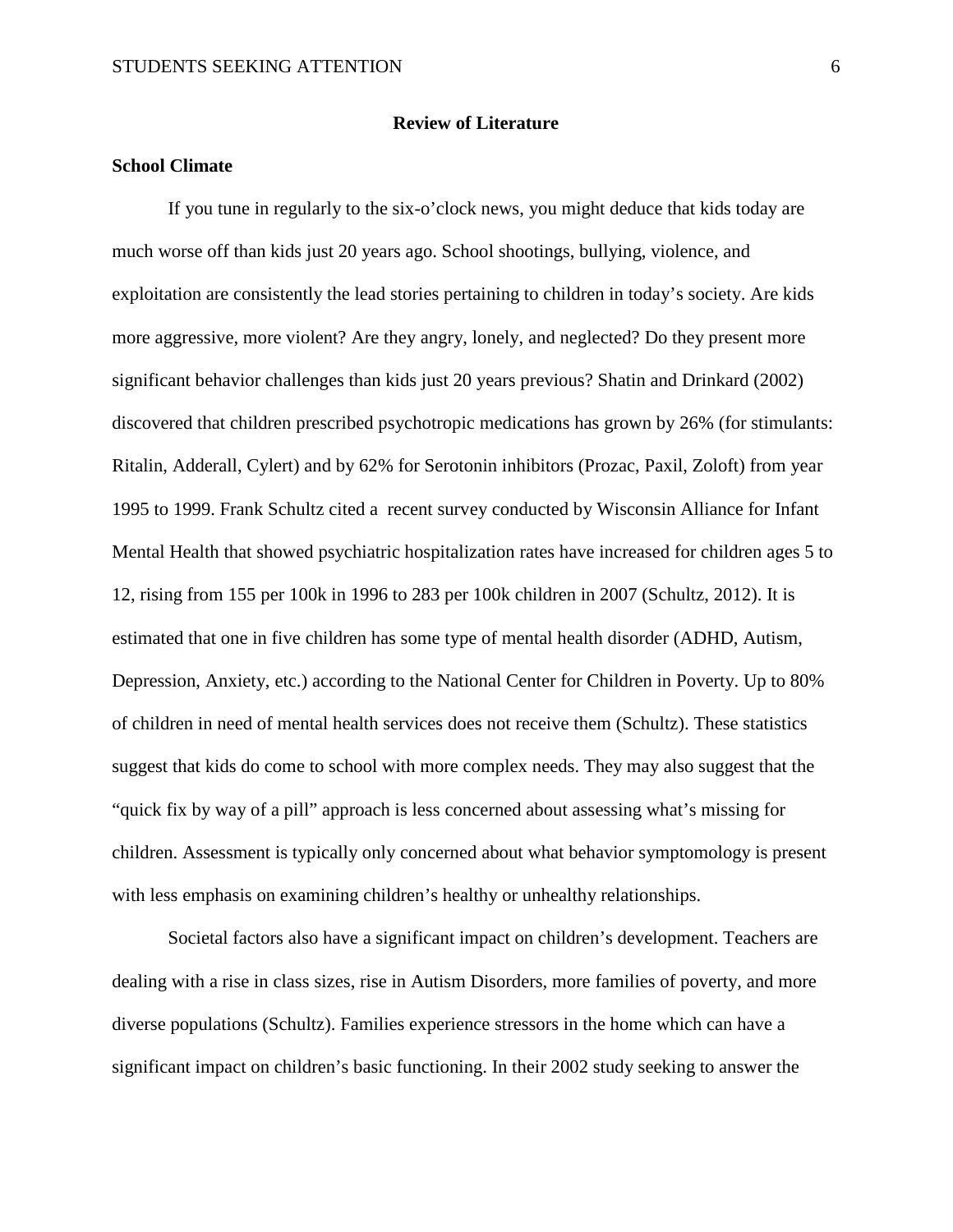#### **Review of Literature**

### **School Climate**

If you tune in regularly to the six-o'clock news, you might deduce that kids today are much worse off than kids just 20 years ago. School shootings, bullying, violence, and exploitation are consistently the lead stories pertaining to children in today's society. Are kids more aggressive, more violent? Are they angry, lonely, and neglected? Do they present more significant behavior challenges than kids just 20 years previous? Shatin and Drinkard (2002) discovered that children prescribed psychotropic medications has grown by 26% (for stimulants: Ritalin, Adderall, Cylert) and by 62% for Serotonin inhibitors (Prozac, Paxil, Zoloft) from year 1995 to 1999. Frank Schultz cited a recent survey conducted by Wisconsin Alliance for Infant Mental Health that showed psychiatric hospitalization rates have increased for children ages 5 to 12, rising from 155 per 100k in 1996 to 283 per 100k children in 2007 (Schultz, 2012). It is estimated that one in five children has some type of mental health disorder (ADHD, Autism, Depression, Anxiety, etc.) according to the National Center for Children in Poverty. Up to 80% of children in need of mental health services does not receive them (Schultz). These statistics suggest that kids do come to school with more complex needs. They may also suggest that the "quick fix by way of a pill" approach is less concerned about assessing what's missing for children. Assessment is typically only concerned about what behavior symptomology is present with less emphasis on examining children's healthy or unhealthy relationships.

Societal factors also have a significant impact on children's development. Teachers are dealing with a rise in class sizes, rise in Autism Disorders, more families of poverty, and more diverse populations (Schultz). Families experience stressors in the home which can have a significant impact on children's basic functioning. In their 2002 study seeking to answer the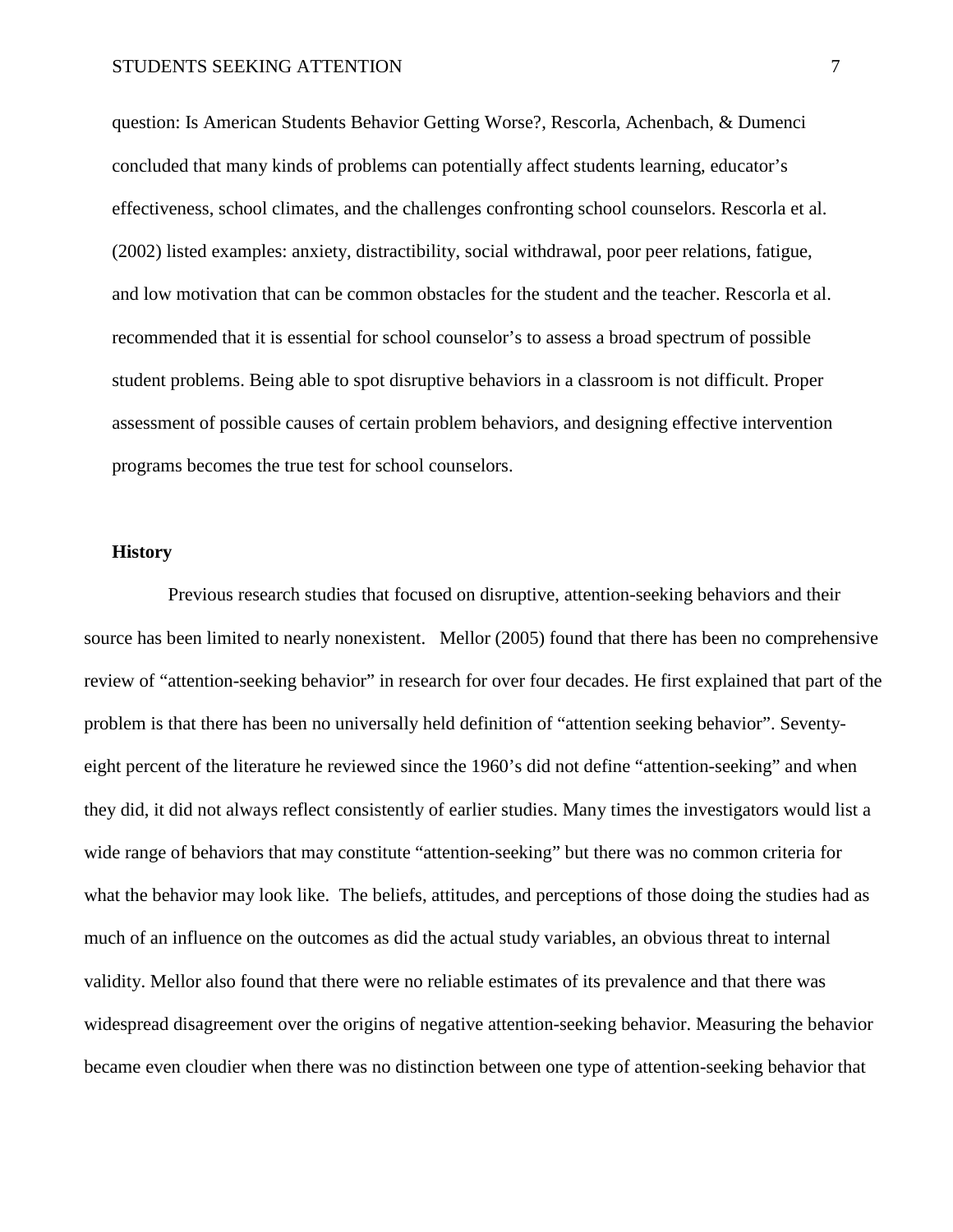question: Is American Students Behavior Getting Worse?, Rescorla, Achenbach, & Dumenci concluded that many kinds of problems can potentially affect students learning, educator's effectiveness, school climates, and the challenges confronting school counselors. Rescorla et al. (2002) listed examples: anxiety, distractibility, social withdrawal, poor peer relations, fatigue, and low motivation that can be common obstacles for the student and the teacher. Rescorla et al. recommended that it is essential for school counselor's to assess a broad spectrum of possible student problems. Being able to spot disruptive behaviors in a classroom is not difficult. Proper assessment of possible causes of certain problem behaviors, and designing effective intervention programs becomes the true test for school counselors.

#### **History**

Previous research studies that focused on disruptive, attention-seeking behaviors and their source has been limited to nearly nonexistent. Mellor (2005) found that there has been no comprehensive review of "attention-seeking behavior" in research for over four decades. He first explained that part of the problem is that there has been no universally held definition of "attention seeking behavior". Seventyeight percent of the literature he reviewed since the 1960's did not define "attention-seeking" and when they did, it did not always reflect consistently of earlier studies. Many times the investigators would list a wide range of behaviors that may constitute "attention-seeking" but there was no common criteria for what the behavior may look like. The beliefs, attitudes, and perceptions of those doing the studies had as much of an influence on the outcomes as did the actual study variables, an obvious threat to internal validity. Mellor also found that there were no reliable estimates of its prevalence and that there was widespread disagreement over the origins of negative attention-seeking behavior. Measuring the behavior became even cloudier when there was no distinction between one type of attention-seeking behavior that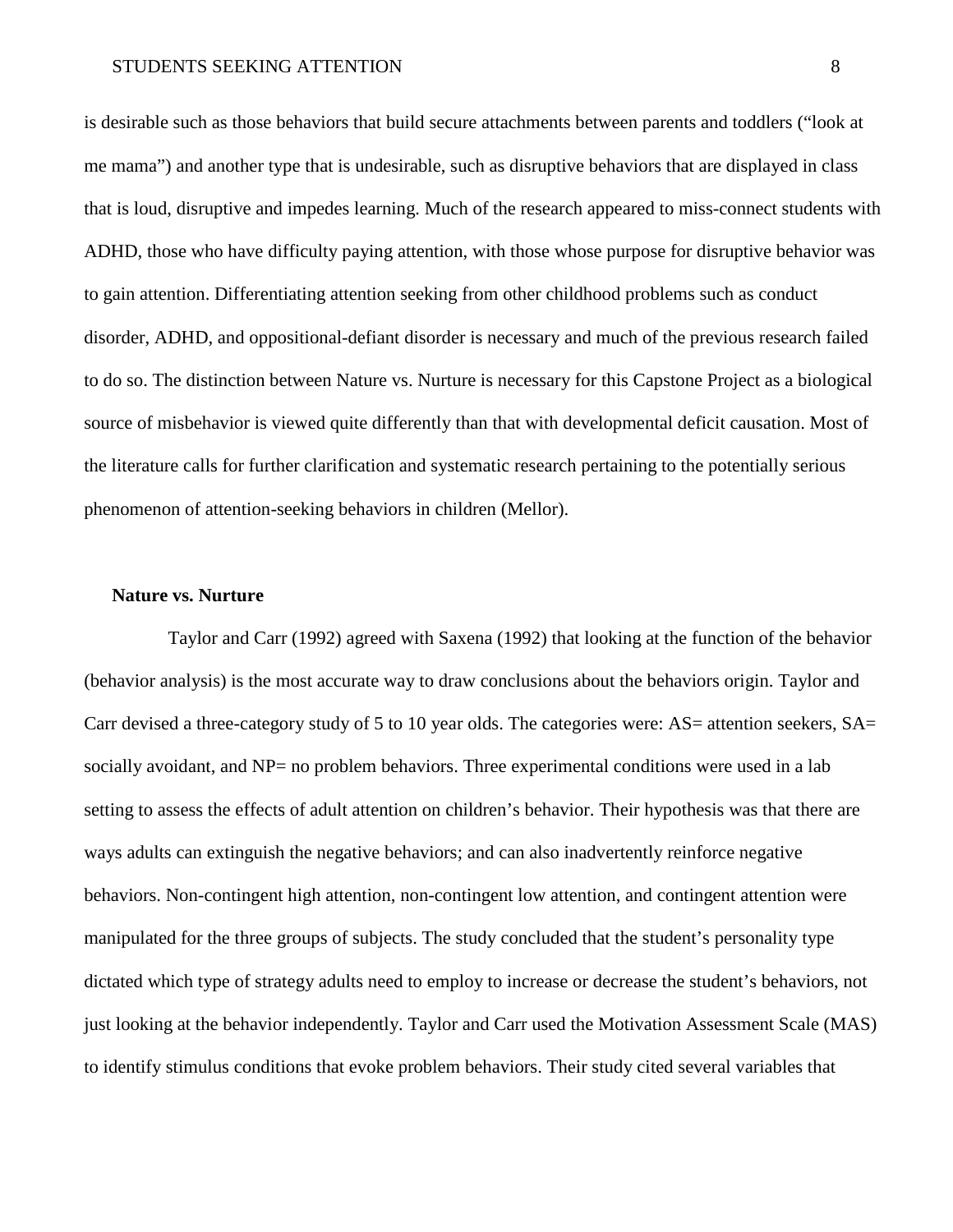is desirable such as those behaviors that build secure attachments between parents and toddlers ("look at me mama") and another type that is undesirable, such as disruptive behaviors that are displayed in class that is loud, disruptive and impedes learning. Much of the research appeared to miss-connect students with ADHD, those who have difficulty paying attention, with those whose purpose for disruptive behavior was to gain attention. Differentiating attention seeking from other childhood problems such as conduct disorder, ADHD, and oppositional-defiant disorder is necessary and much of the previous research failed to do so. The distinction between Nature vs. Nurture is necessary for this Capstone Project as a biological source of misbehavior is viewed quite differently than that with developmental deficit causation. Most of the literature calls for further clarification and systematic research pertaining to the potentially serious phenomenon of attention-seeking behaviors in children (Mellor).

#### **Nature vs. Nurture**

Taylor and Carr (1992) agreed with Saxena (1992) that looking at the function of the behavior (behavior analysis) is the most accurate way to draw conclusions about the behaviors origin. Taylor and Carr devised a three-category study of 5 to 10 year olds. The categories were: AS= attention seekers, SA= socially avoidant, and NP= no problem behaviors. Three experimental conditions were used in a lab setting to assess the effects of adult attention on children's behavior. Their hypothesis was that there are ways adults can extinguish the negative behaviors; and can also inadvertently reinforce negative behaviors. Non-contingent high attention, non-contingent low attention, and contingent attention were manipulated for the three groups of subjects. The study concluded that the student's personality type dictated which type of strategy adults need to employ to increase or decrease the student's behaviors, not just looking at the behavior independently. Taylor and Carr used the Motivation Assessment Scale (MAS) to identify stimulus conditions that evoke problem behaviors. Their study cited several variables that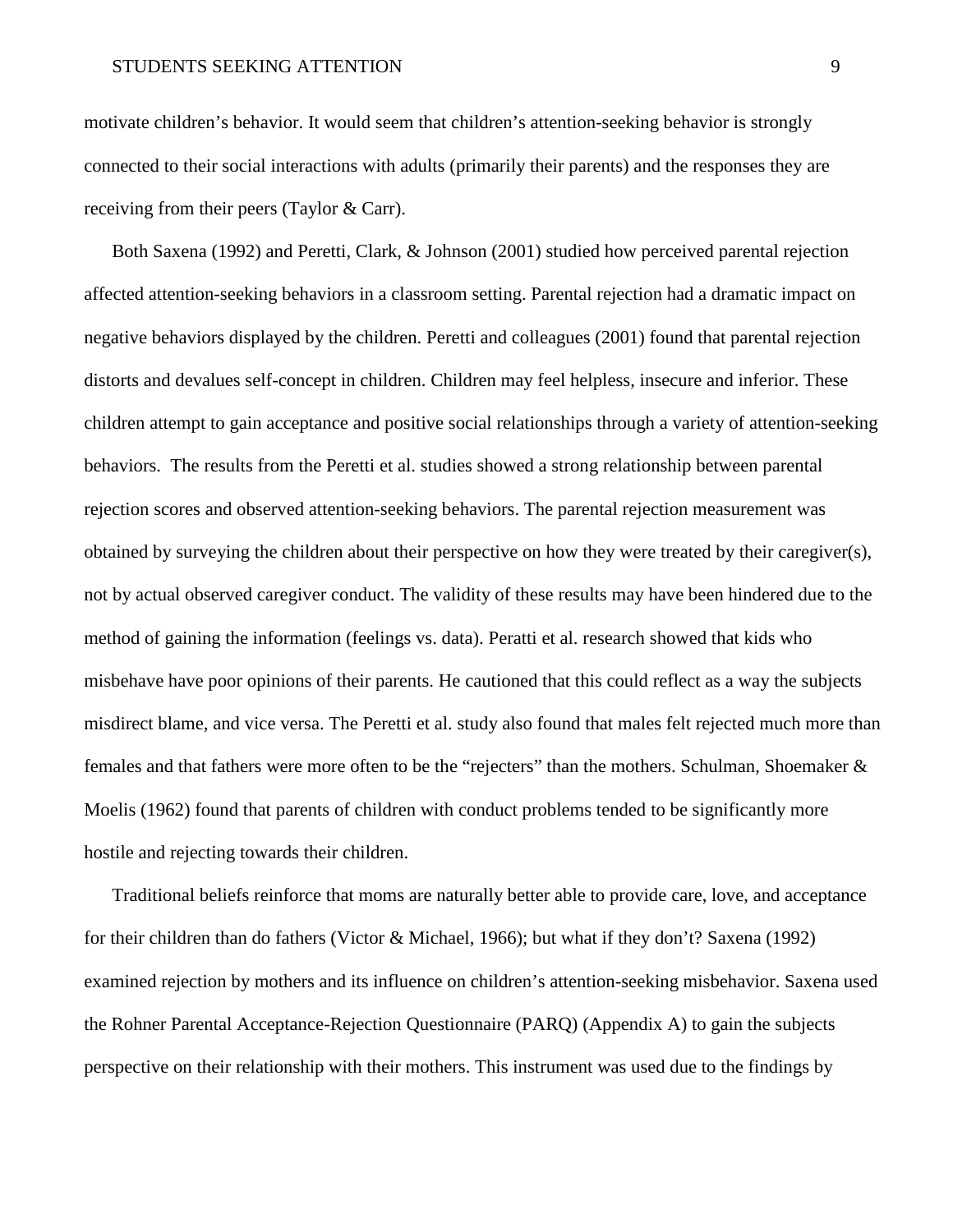motivate children's behavior. It would seem that children's attention-seeking behavior is strongly connected to their social interactions with adults (primarily their parents) and the responses they are receiving from their peers (Taylor & Carr).

Both Saxena (1992) and Peretti, Clark, & Johnson (2001) studied how perceived parental rejection affected attention-seeking behaviors in a classroom setting. Parental rejection had a dramatic impact on negative behaviors displayed by the children. Peretti and colleagues (2001) found that parental rejection distorts and devalues self-concept in children. Children may feel helpless, insecure and inferior. These children attempt to gain acceptance and positive social relationships through a variety of attention-seeking behaviors. The results from the Peretti et al. studies showed a strong relationship between parental rejection scores and observed attention-seeking behaviors. The parental rejection measurement was obtained by surveying the children about their perspective on how they were treated by their caregiver(s), not by actual observed caregiver conduct. The validity of these results may have been hindered due to the method of gaining the information (feelings vs. data). Peratti et al. research showed that kids who misbehave have poor opinions of their parents. He cautioned that this could reflect as a way the subjects misdirect blame, and vice versa. The Peretti et al. study also found that males felt rejected much more than females and that fathers were more often to be the "rejecters" than the mothers. Schulman, Shoemaker & Moelis (1962) found that parents of children with conduct problems tended to be significantly more hostile and rejecting towards their children.

Traditional beliefs reinforce that moms are naturally better able to provide care, love, and acceptance for their children than do fathers (Victor & Michael, 1966); but what if they don't? Saxena (1992) examined rejection by mothers and its influence on children's attention-seeking misbehavior. Saxena used the Rohner Parental Acceptance-Rejection Questionnaire (PARQ) (Appendix A) to gain the subjects perspective on their relationship with their mothers. This instrument was used due to the findings by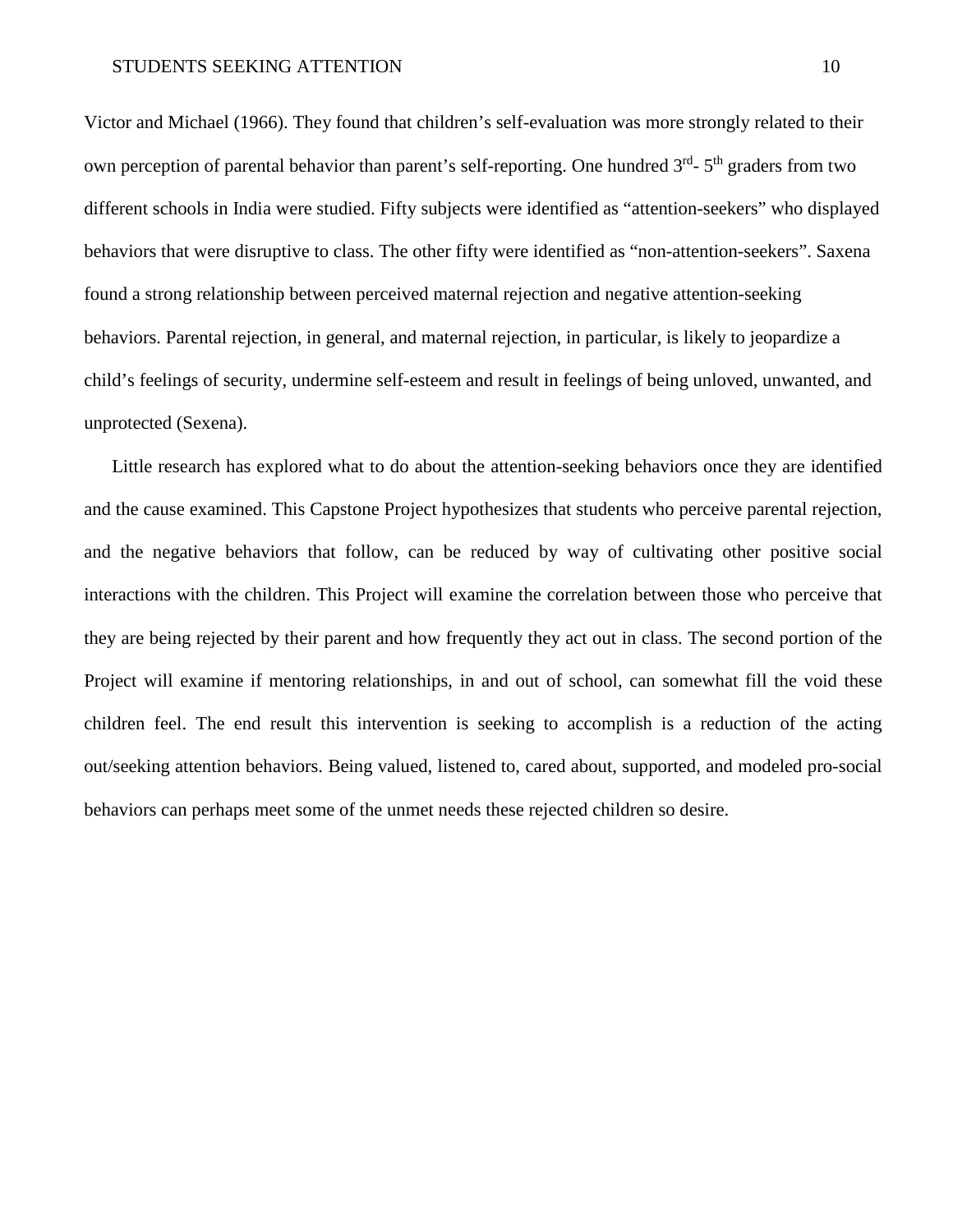Victor and Michael (1966). They found that children's self-evaluation was more strongly related to their own perception of parental behavior than parent's self-reporting. One hundred  $3<sup>rd</sup>$ -  $5<sup>th</sup>$  graders from two different schools in India were studied. Fifty subjects were identified as "attention-seekers" who displayed behaviors that were disruptive to class. The other fifty were identified as "non-attention-seekers". Saxena found a strong relationship between perceived maternal rejection and negative attention-seeking behaviors. Parental rejection, in general, and maternal rejection, in particular, is likely to jeopardize a child's feelings of security, undermine self-esteem and result in feelings of being unloved, unwanted, and unprotected (Sexena).

Little research has explored what to do about the attention-seeking behaviors once they are identified and the cause examined. This Capstone Project hypothesizes that students who perceive parental rejection, and the negative behaviors that follow, can be reduced by way of cultivating other positive social interactions with the children. This Project will examine the correlation between those who perceive that they are being rejected by their parent and how frequently they act out in class. The second portion of the Project will examine if mentoring relationships, in and out of school, can somewhat fill the void these children feel. The end result this intervention is seeking to accomplish is a reduction of the acting out/seeking attention behaviors. Being valued, listened to, cared about, supported, and modeled pro-social behaviors can perhaps meet some of the unmet needs these rejected children so desire.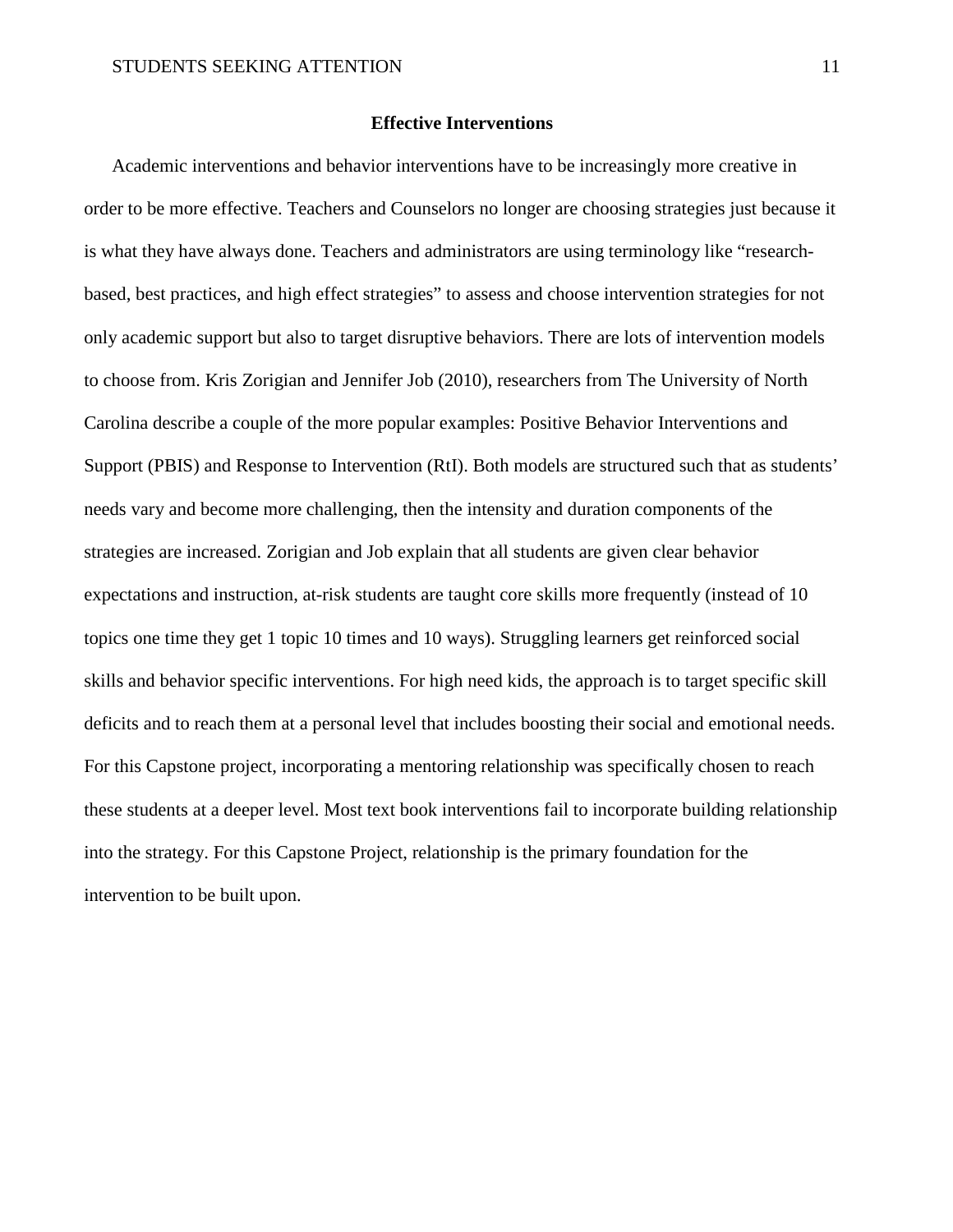#### **Effective Interventions**

Academic interventions and behavior interventions have to be increasingly more creative in order to be more effective. Teachers and Counselors no longer are choosing strategies just because it is what they have always done. Teachers and administrators are using terminology like "researchbased, best practices, and high effect strategies" to assess and choose intervention strategies for not only academic support but also to target disruptive behaviors. There are lots of intervention models to choose from. Kris Zorigian and Jennifer Job (2010), researchers from The University of North Carolina describe a couple of the more popular examples: Positive Behavior Interventions and Support (PBIS) and Response to Intervention (RtI). Both models are structured such that as students' needs vary and become more challenging, then the intensity and duration components of the strategies are increased. Zorigian and Job explain that all students are given clear behavior expectations and instruction, at-risk students are taught core skills more frequently (instead of 10 topics one time they get 1 topic 10 times and 10 ways). Struggling learners get reinforced social skills and behavior specific interventions. For high need kids, the approach is to target specific skill deficits and to reach them at a personal level that includes boosting their social and emotional needs. For this Capstone project, incorporating a mentoring relationship was specifically chosen to reach these students at a deeper level. Most text book interventions fail to incorporate building relationship into the strategy. For this Capstone Project, relationship is the primary foundation for the intervention to be built upon.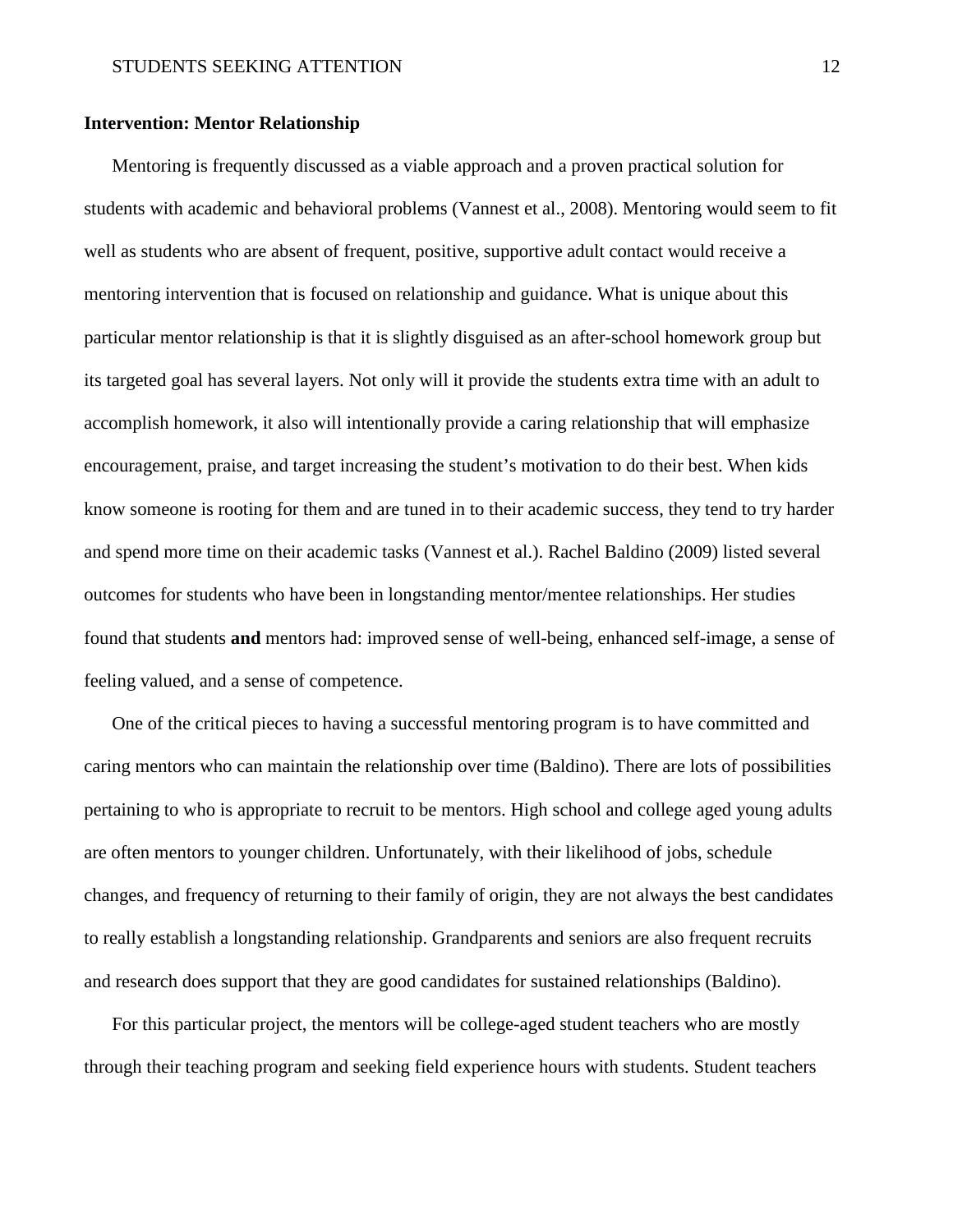## **Intervention: Mentor Relationship**

Mentoring is frequently discussed as a viable approach and a proven practical solution for students with academic and behavioral problems (Vannest et al., 2008). Mentoring would seem to fit well as students who are absent of frequent, positive, supportive adult contact would receive a mentoring intervention that is focused on relationship and guidance. What is unique about this particular mentor relationship is that it is slightly disguised as an after-school homework group but its targeted goal has several layers. Not only will it provide the students extra time with an adult to accomplish homework, it also will intentionally provide a caring relationship that will emphasize encouragement, praise, and target increasing the student's motivation to do their best. When kids know someone is rooting for them and are tuned in to their academic success, they tend to try harder and spend more time on their academic tasks (Vannest et al.). Rachel Baldino (2009) listed several outcomes for students who have been in longstanding mentor/mentee relationships. Her studies found that students **and** mentors had: improved sense of well-being, enhanced self-image, a sense of feeling valued, and a sense of competence.

One of the critical pieces to having a successful mentoring program is to have committed and caring mentors who can maintain the relationship over time (Baldino). There are lots of possibilities pertaining to who is appropriate to recruit to be mentors. High school and college aged young adults are often mentors to younger children. Unfortunately, with their likelihood of jobs, schedule changes, and frequency of returning to their family of origin, they are not always the best candidates to really establish a longstanding relationship. Grandparents and seniors are also frequent recruits and research does support that they are good candidates for sustained relationships (Baldino).

For this particular project, the mentors will be college-aged student teachers who are mostly through their teaching program and seeking field experience hours with students. Student teachers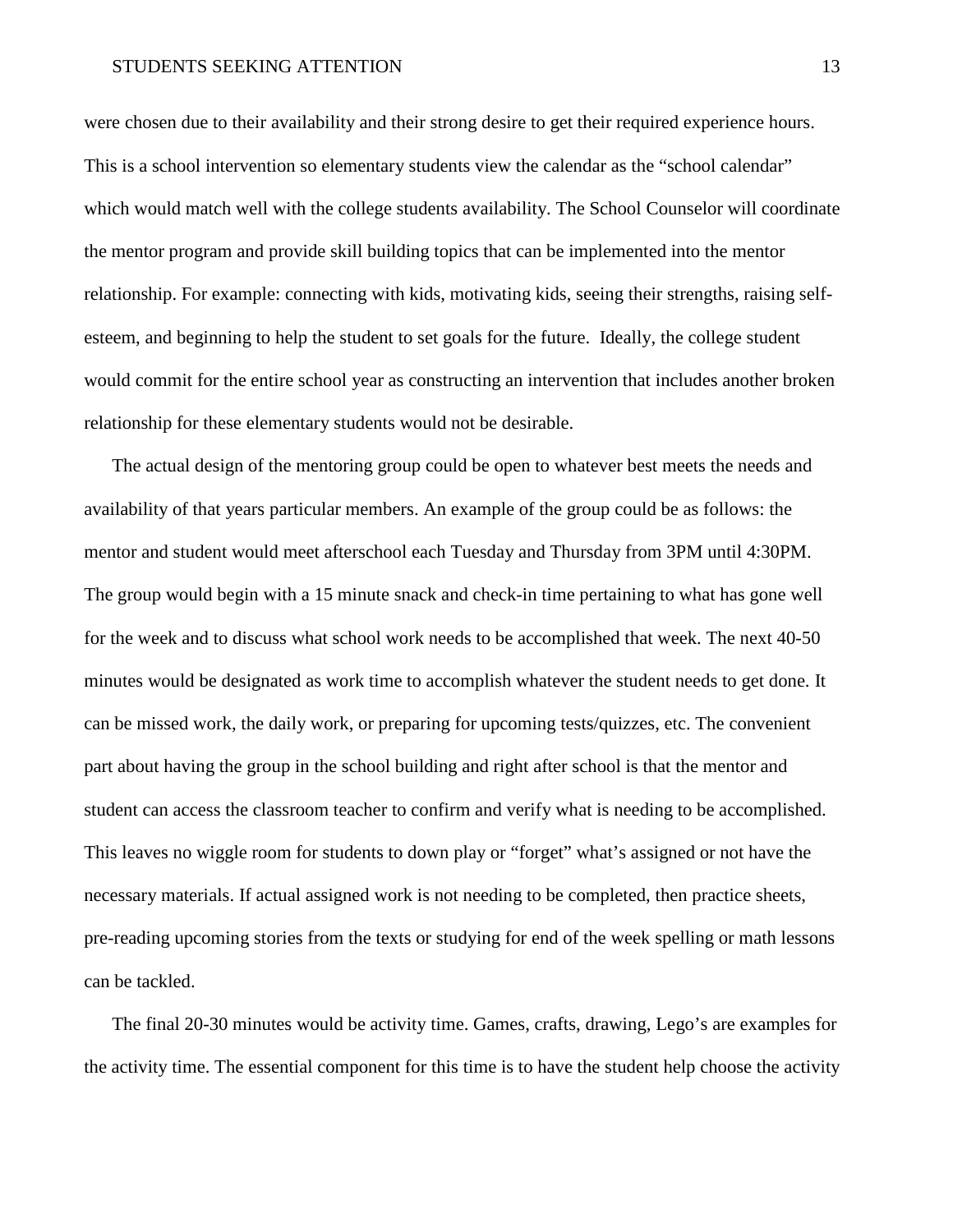#### STUDENTS SEEKING ATTENTION 13

were chosen due to their availability and their strong desire to get their required experience hours. This is a school intervention so elementary students view the calendar as the "school calendar" which would match well with the college students availability. The School Counselor will coordinate the mentor program and provide skill building topics that can be implemented into the mentor relationship. For example: connecting with kids, motivating kids, seeing their strengths, raising selfesteem, and beginning to help the student to set goals for the future. Ideally, the college student would commit for the entire school year as constructing an intervention that includes another broken relationship for these elementary students would not be desirable.

The actual design of the mentoring group could be open to whatever best meets the needs and availability of that years particular members. An example of the group could be as follows: the mentor and student would meet afterschool each Tuesday and Thursday from 3PM until 4:30PM. The group would begin with a 15 minute snack and check-in time pertaining to what has gone well for the week and to discuss what school work needs to be accomplished that week. The next 40-50 minutes would be designated as work time to accomplish whatever the student needs to get done. It can be missed work, the daily work, or preparing for upcoming tests/quizzes, etc. The convenient part about having the group in the school building and right after school is that the mentor and student can access the classroom teacher to confirm and verify what is needing to be accomplished. This leaves no wiggle room for students to down play or "forget" what's assigned or not have the necessary materials. If actual assigned work is not needing to be completed, then practice sheets, pre-reading upcoming stories from the texts or studying for end of the week spelling or math lessons can be tackled.

The final 20-30 minutes would be activity time. Games, crafts, drawing, Lego's are examples for the activity time. The essential component for this time is to have the student help choose the activity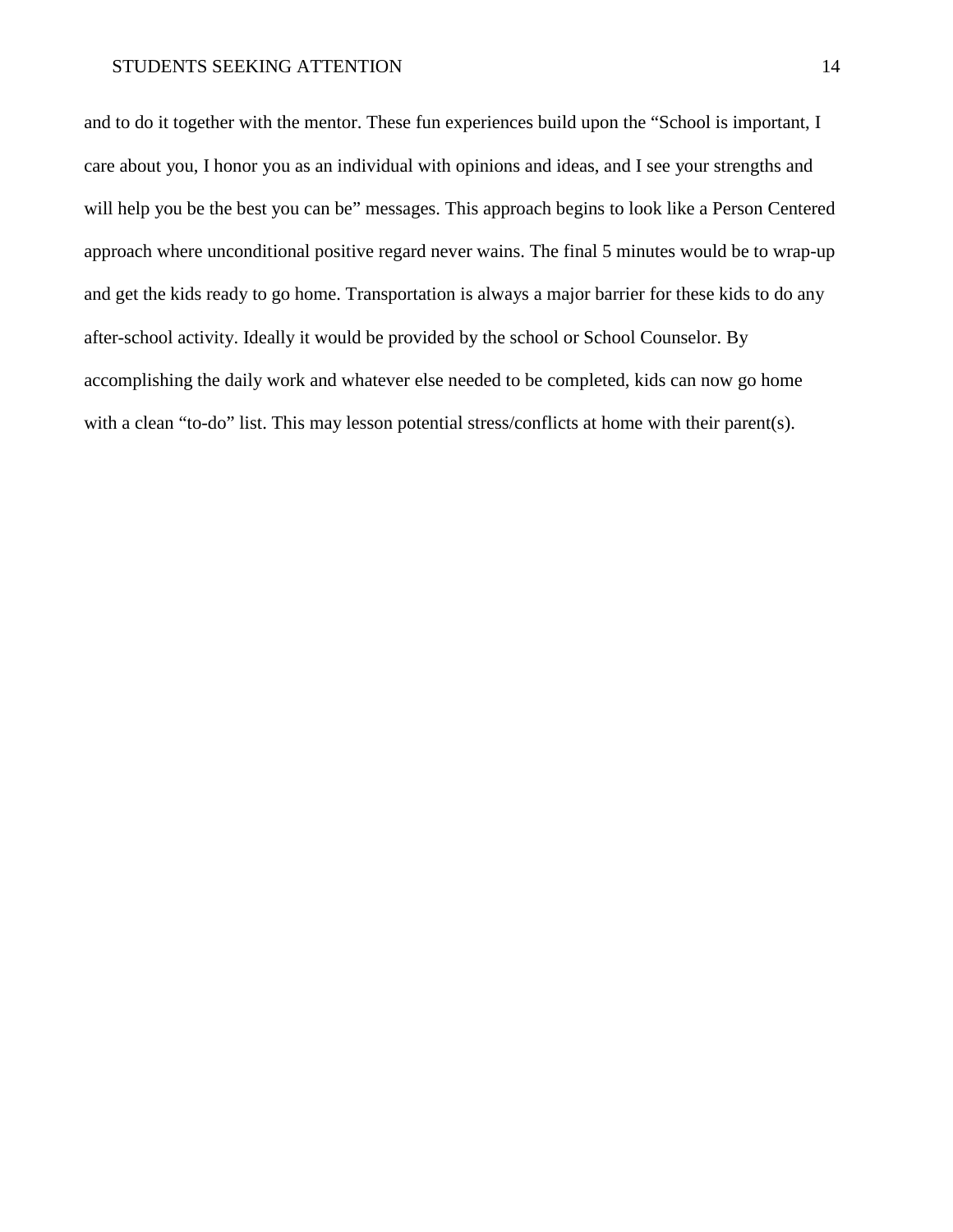and to do it together with the mentor. These fun experiences build upon the "School is important, I care about you, I honor you as an individual with opinions and ideas, and I see your strengths and will help you be the best you can be" messages. This approach begins to look like a Person Centered approach where unconditional positive regard never wains. The final 5 minutes would be to wrap-up and get the kids ready to go home. Transportation is always a major barrier for these kids to do any after-school activity. Ideally it would be provided by the school or School Counselor. By accomplishing the daily work and whatever else needed to be completed, kids can now go home with a clean "to-do" list. This may lesson potential stress/conflicts at home with their parent(s).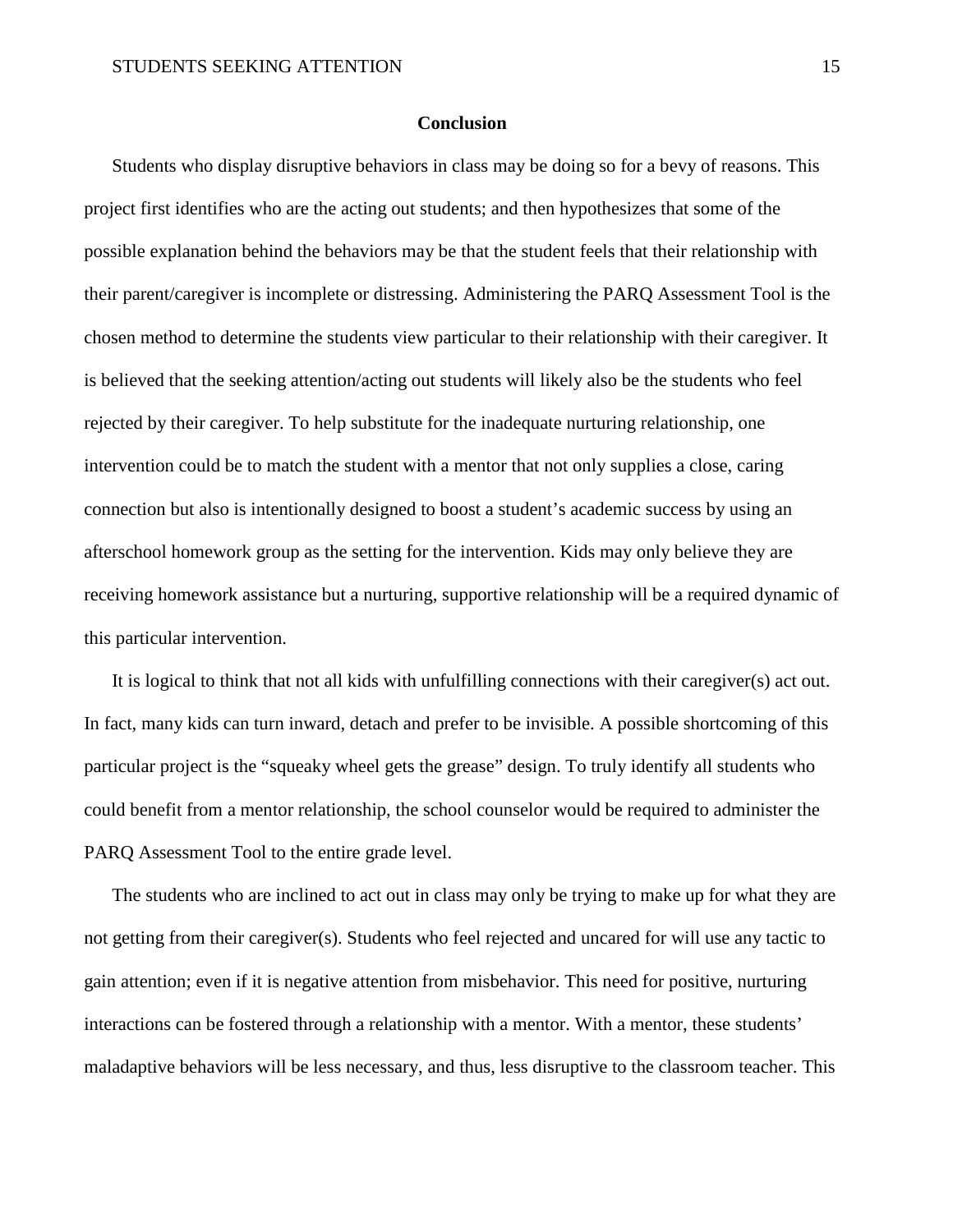#### **Conclusion**

Students who display disruptive behaviors in class may be doing so for a bevy of reasons. This project first identifies who are the acting out students; and then hypothesizes that some of the possible explanation behind the behaviors may be that the student feels that their relationship with their parent/caregiver is incomplete or distressing. Administering the PARQ Assessment Tool is the chosen method to determine the students view particular to their relationship with their caregiver. It is believed that the seeking attention/acting out students will likely also be the students who feel rejected by their caregiver. To help substitute for the inadequate nurturing relationship, one intervention could be to match the student with a mentor that not only supplies a close, caring connection but also is intentionally designed to boost a student's academic success by using an afterschool homework group as the setting for the intervention. Kids may only believe they are receiving homework assistance but a nurturing, supportive relationship will be a required dynamic of this particular intervention.

It is logical to think that not all kids with unfulfilling connections with their caregiver(s) act out. In fact, many kids can turn inward, detach and prefer to be invisible. A possible shortcoming of this particular project is the "squeaky wheel gets the grease" design. To truly identify all students who could benefit from a mentor relationship, the school counselor would be required to administer the PARQ Assessment Tool to the entire grade level.

The students who are inclined to act out in class may only be trying to make up for what they are not getting from their caregiver(s). Students who feel rejected and uncared for will use any tactic to gain attention; even if it is negative attention from misbehavior. This need for positive, nurturing interactions can be fostered through a relationship with a mentor. With a mentor, these students' maladaptive behaviors will be less necessary, and thus, less disruptive to the classroom teacher. This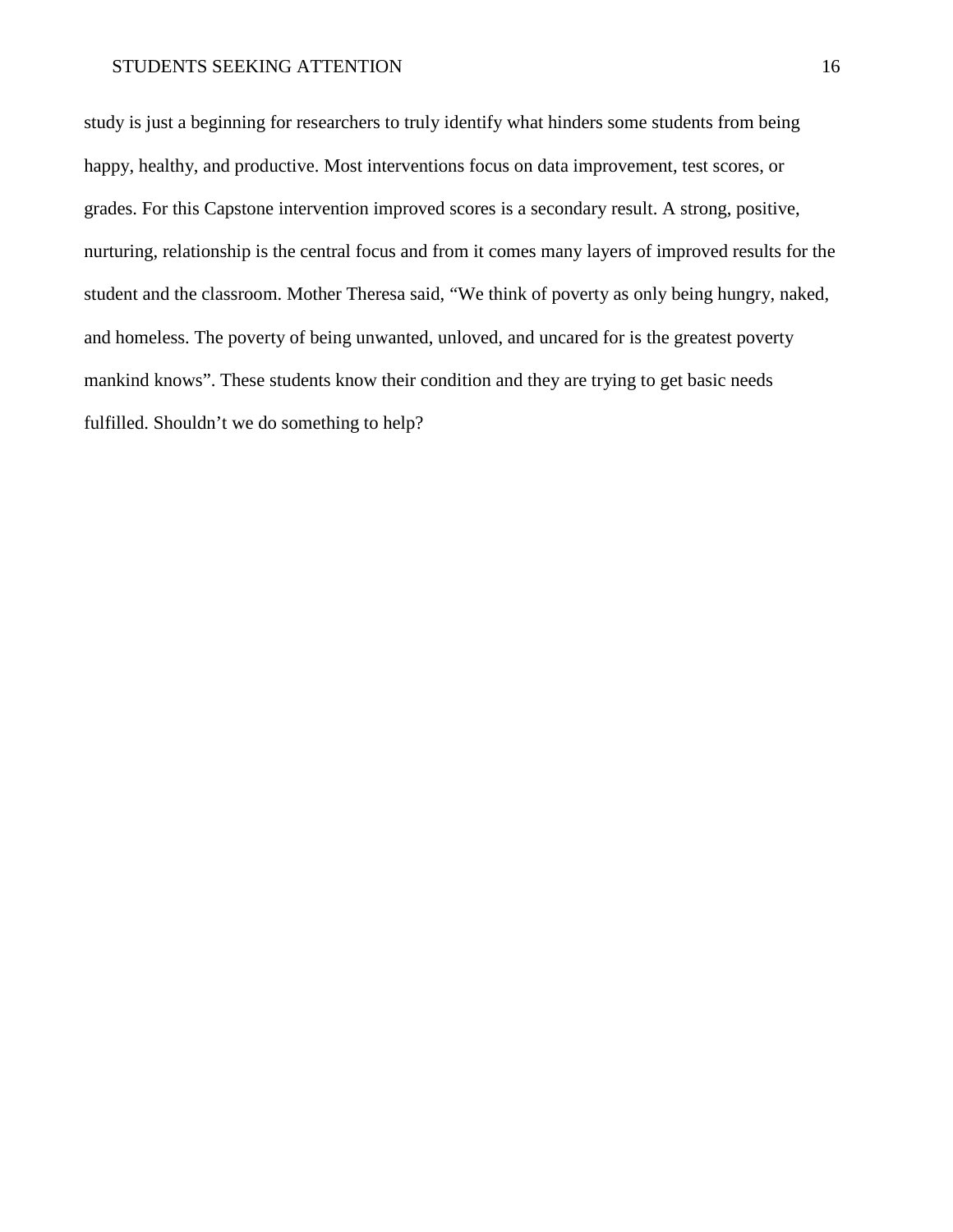study is just a beginning for researchers to truly identify what hinders some students from being happy, healthy, and productive. Most interventions focus on data improvement, test scores, or grades. For this Capstone intervention improved scores is a secondary result. A strong, positive, nurturing, relationship is the central focus and from it comes many layers of improved results for the student and the classroom. Mother Theresa said, "We think of poverty as only being hungry, naked, and homeless. The poverty of being unwanted, unloved, and uncared for is the greatest poverty mankind knows". These students know their condition and they are trying to get basic needs fulfilled. Shouldn't we do something to help?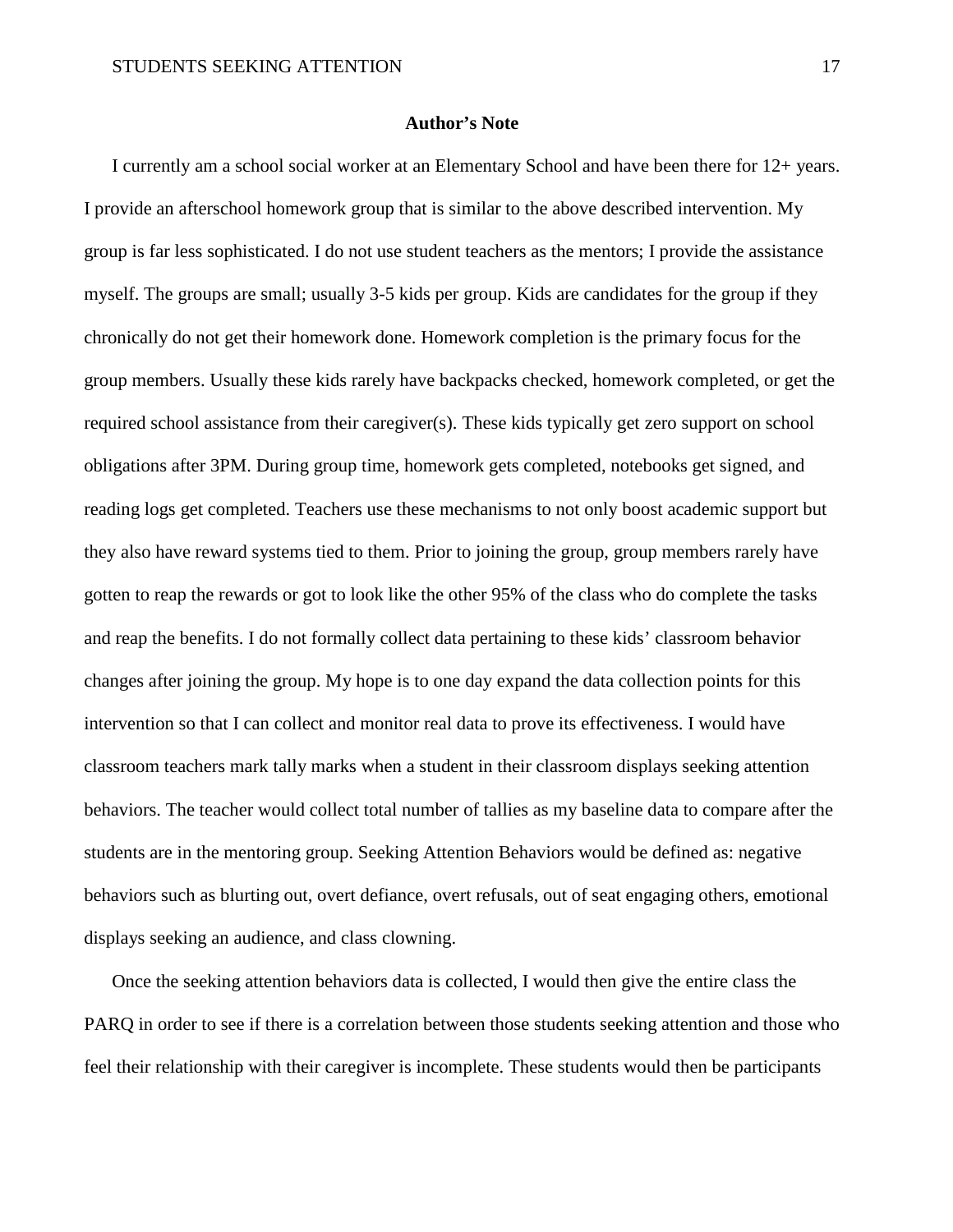#### **Author's Note**

I currently am a school social worker at an Elementary School and have been there for 12+ years. I provide an afterschool homework group that is similar to the above described intervention. My group is far less sophisticated. I do not use student teachers as the mentors; I provide the assistance myself. The groups are small; usually 3-5 kids per group. Kids are candidates for the group if they chronically do not get their homework done. Homework completion is the primary focus for the group members. Usually these kids rarely have backpacks checked, homework completed, or get the required school assistance from their caregiver(s). These kids typically get zero support on school obligations after 3PM. During group time, homework gets completed, notebooks get signed, and reading logs get completed. Teachers use these mechanisms to not only boost academic support but they also have reward systems tied to them. Prior to joining the group, group members rarely have gotten to reap the rewards or got to look like the other 95% of the class who do complete the tasks and reap the benefits. I do not formally collect data pertaining to these kids' classroom behavior changes after joining the group. My hope is to one day expand the data collection points for this intervention so that I can collect and monitor real data to prove its effectiveness. I would have classroom teachers mark tally marks when a student in their classroom displays seeking attention behaviors. The teacher would collect total number of tallies as my baseline data to compare after the students are in the mentoring group. Seeking Attention Behaviors would be defined as: negative behaviors such as blurting out, overt defiance, overt refusals, out of seat engaging others, emotional displays seeking an audience, and class clowning.

Once the seeking attention behaviors data is collected, I would then give the entire class the PARQ in order to see if there is a correlation between those students seeking attention and those who feel their relationship with their caregiver is incomplete. These students would then be participants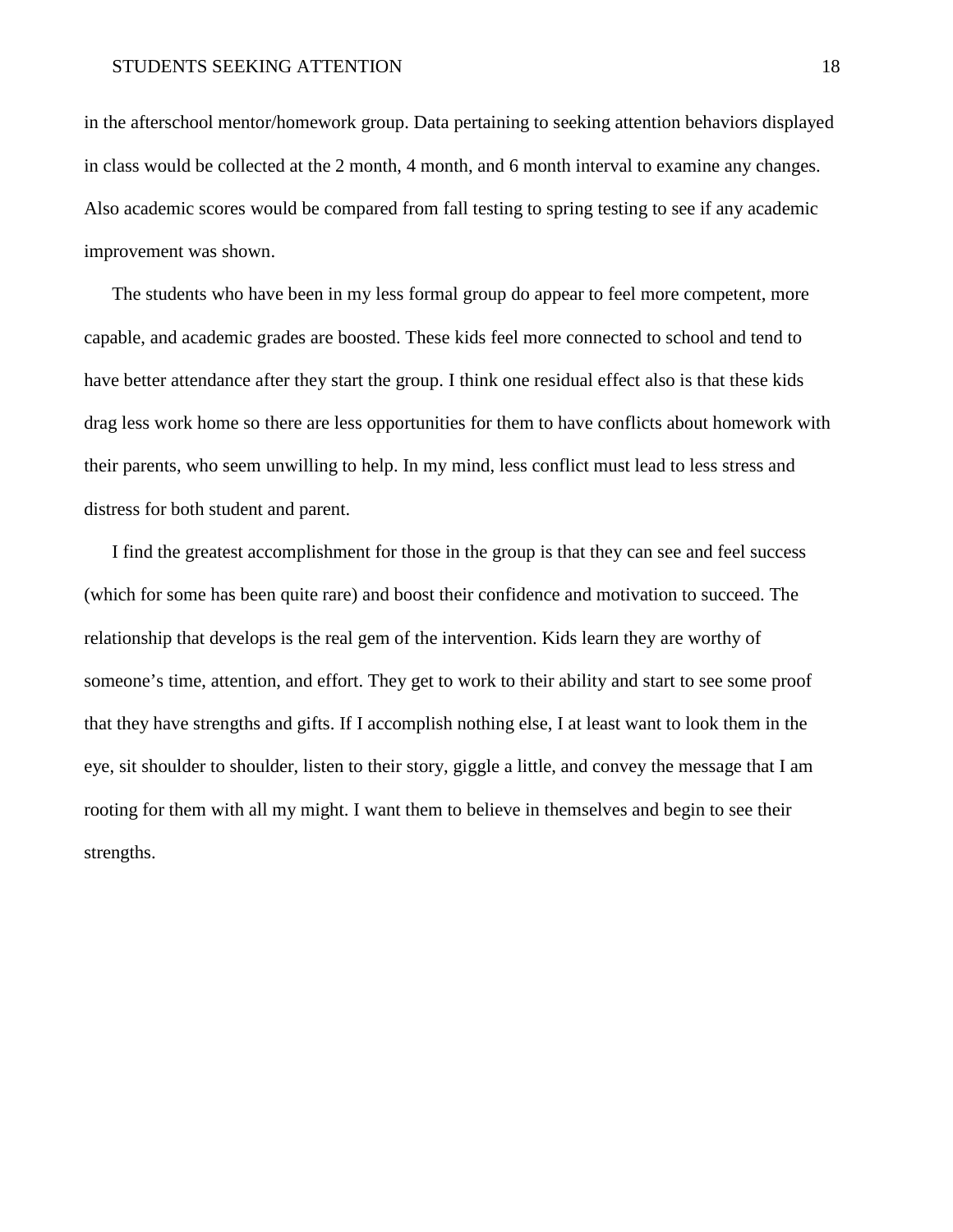in the afterschool mentor/homework group. Data pertaining to seeking attention behaviors displayed in class would be collected at the 2 month, 4 month, and 6 month interval to examine any changes. Also academic scores would be compared from fall testing to spring testing to see if any academic improvement was shown.

The students who have been in my less formal group do appear to feel more competent, more capable, and academic grades are boosted. These kids feel more connected to school and tend to have better attendance after they start the group. I think one residual effect also is that these kids drag less work home so there are less opportunities for them to have conflicts about homework with their parents, who seem unwilling to help. In my mind, less conflict must lead to less stress and distress for both student and parent.

I find the greatest accomplishment for those in the group is that they can see and feel success (which for some has been quite rare) and boost their confidence and motivation to succeed. The relationship that develops is the real gem of the intervention. Kids learn they are worthy of someone's time, attention, and effort. They get to work to their ability and start to see some proof that they have strengths and gifts. If I accomplish nothing else, I at least want to look them in the eye, sit shoulder to shoulder, listen to their story, giggle a little, and convey the message that I am rooting for them with all my might. I want them to believe in themselves and begin to see their strengths.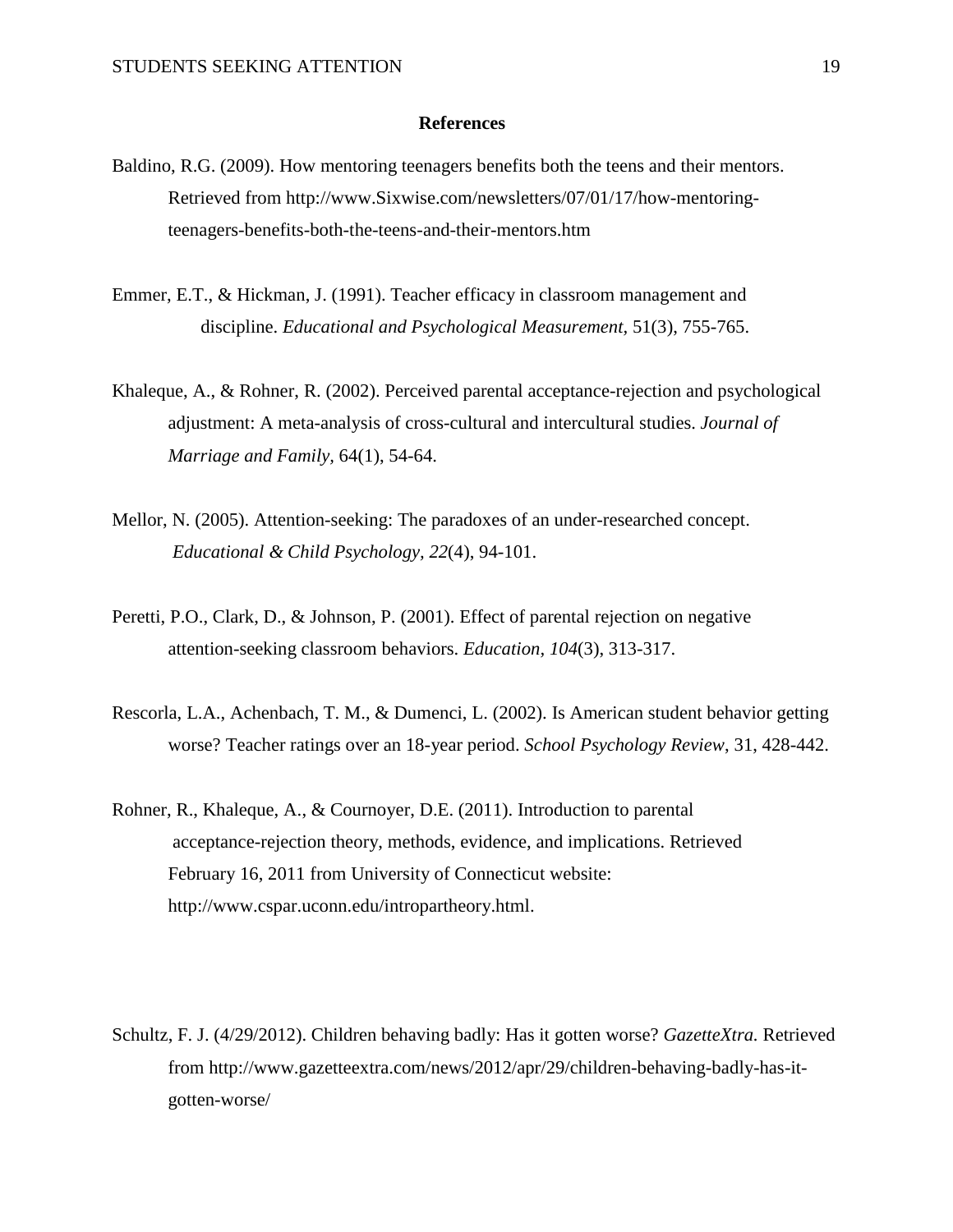#### **References**

- Baldino, R.G. (2009). How mentoring teenagers benefits both the teens and their mentors. Retrieved from [http://www.](http://www/)Sixwise.com/newsletters/07/01/17/how-mentoringteenagers-benefits-both-the-teens-and-their-mentors.htm
- Emmer, E.T., & Hickman, J. (1991). Teacher efficacy in classroom management and discipline. *Educational and Psychological Measurement,* 51(3), 755-765.
- Khaleque, A., & Rohner, R. (2002). Perceived parental acceptance-rejection and psychological adjustment: A meta-analysis of cross-cultural and intercultural studies. *Journal of Marriage and Family,* 64(1), 54-64.
- Mellor, N. (2005). Attention-seeking: The paradoxes of an under-researched concept. *Educational & Child Psychology, 22*(4), 94-101.
- Peretti, P.O., Clark, D., & Johnson, P. (2001). Effect of parental rejection on negative attention-seeking classroom behaviors. *Education, 104*(3), 313-317.
- Rescorla, L.A., Achenbach, T. M., & Dumenci, L. (2002). Is American student behavior getting worse? Teacher ratings over an 18-year period. *School Psychology Review*, 31, 428-442.
- Rohner, R., Khaleque, A., & Cournoyer, D.E. (2011). Introduction to parental acceptance-rejection theory, methods, evidence, and implications. Retrieved February 16, 2011 from University of Connecticut website: http://www.cspar.uconn.edu/intropartheory.html.
- Schultz, F. J. (4/29/2012). Children behaving badly: Has it gotten worse? *GazetteXtra.* Retrieved from [http://www.gazetteextra.com/news/2012/apr/29/children-behaving-badly-has-it](http://www.gazetteextra.com/news/2012/apr/29/children-behaving-badly-has-it-)gotten-worse/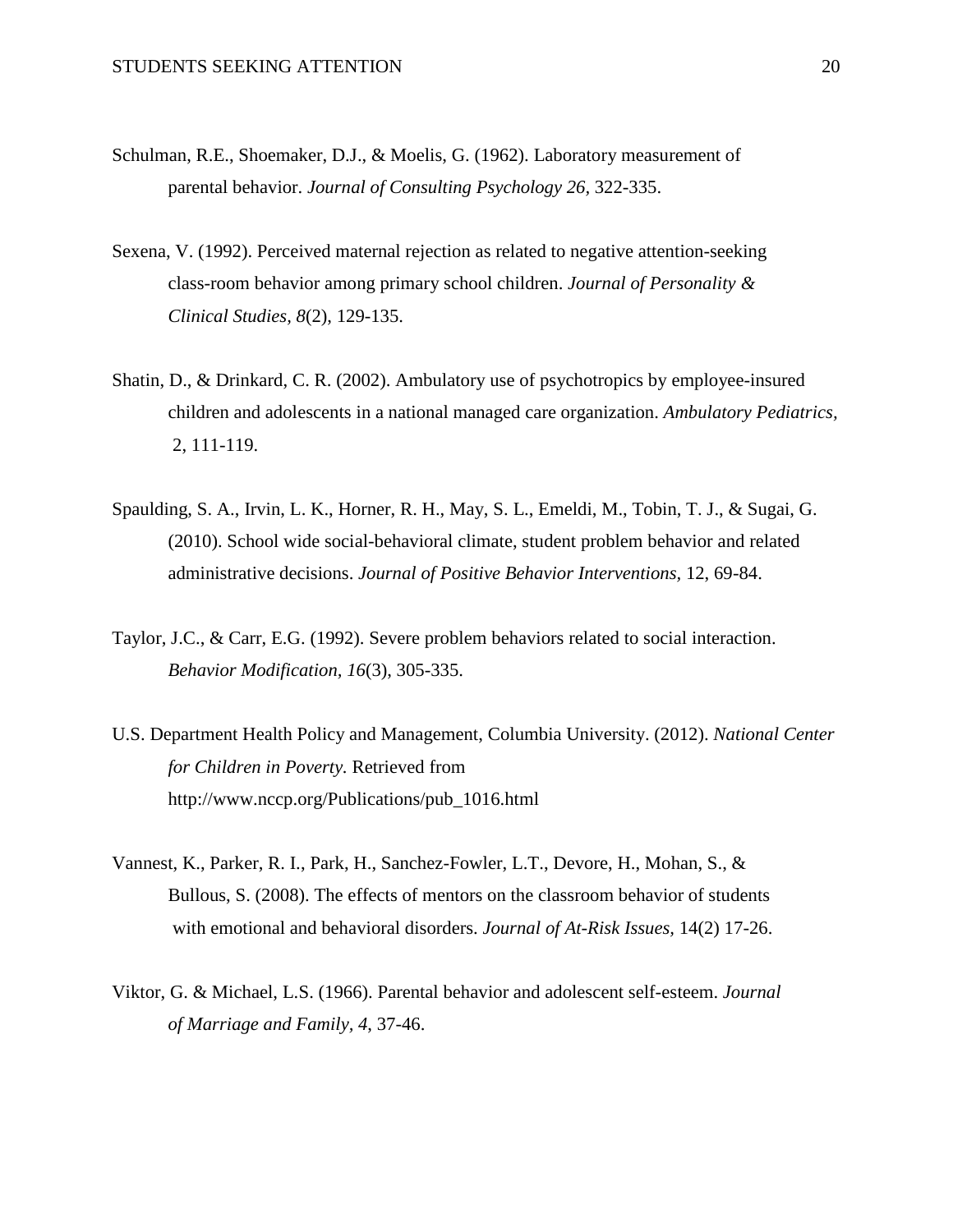- Schulman, R.E., Shoemaker, D.J., & Moelis, G. (1962). Laboratory measurement of parental behavior. *Journal of Consulting Psychology 26,* 322-335.
- Sexena, V. (1992). Perceived maternal rejection as related to negative attention-seeking class-room behavior among primary school children. *Journal of Personality & Clinical Studies, 8*(2), 129-135.
- Shatin, D., & Drinkard, C. R. (2002). Ambulatory use of psychotropics by employee-insured children and adolescents in a national managed care organization. *Ambulatory Pediatrics,* 2, 111-119.
- Spaulding, S. A., Irvin, L. K., Horner, R. H., May, S. L., Emeldi, M., Tobin, T. J., & Sugai, G. (2010). School wide social-behavioral climate, student problem behavior and related administrative decisions. *Journal of Positive Behavior Interventions,* 12, 69-84.
- Taylor, J.C., & Carr, E.G. (1992). Severe problem behaviors related to social interaction. *Behavior Modification, 16*(3), 305-335.
- U.S. Department Health Policy and Management, Columbia University. (2012). *National Center for Children in Poverty.* Retrieved from http://www.nccp.org/Publications/pub\_1016.html
- Vannest, K., Parker, R. I., Park, H., Sanchez-Fowler, L.T., Devore, H., Mohan, S., & Bullous, S. (2008). The effects of mentors on the classroom behavior of students with emotional and behavioral disorders. *Journal of At-Risk Issues,* 14(2) 17-26.
- Viktor, G. & Michael, L.S. (1966). Parental behavior and adolescent self-esteem. *Journal of Marriage and Family, 4*, 37-46.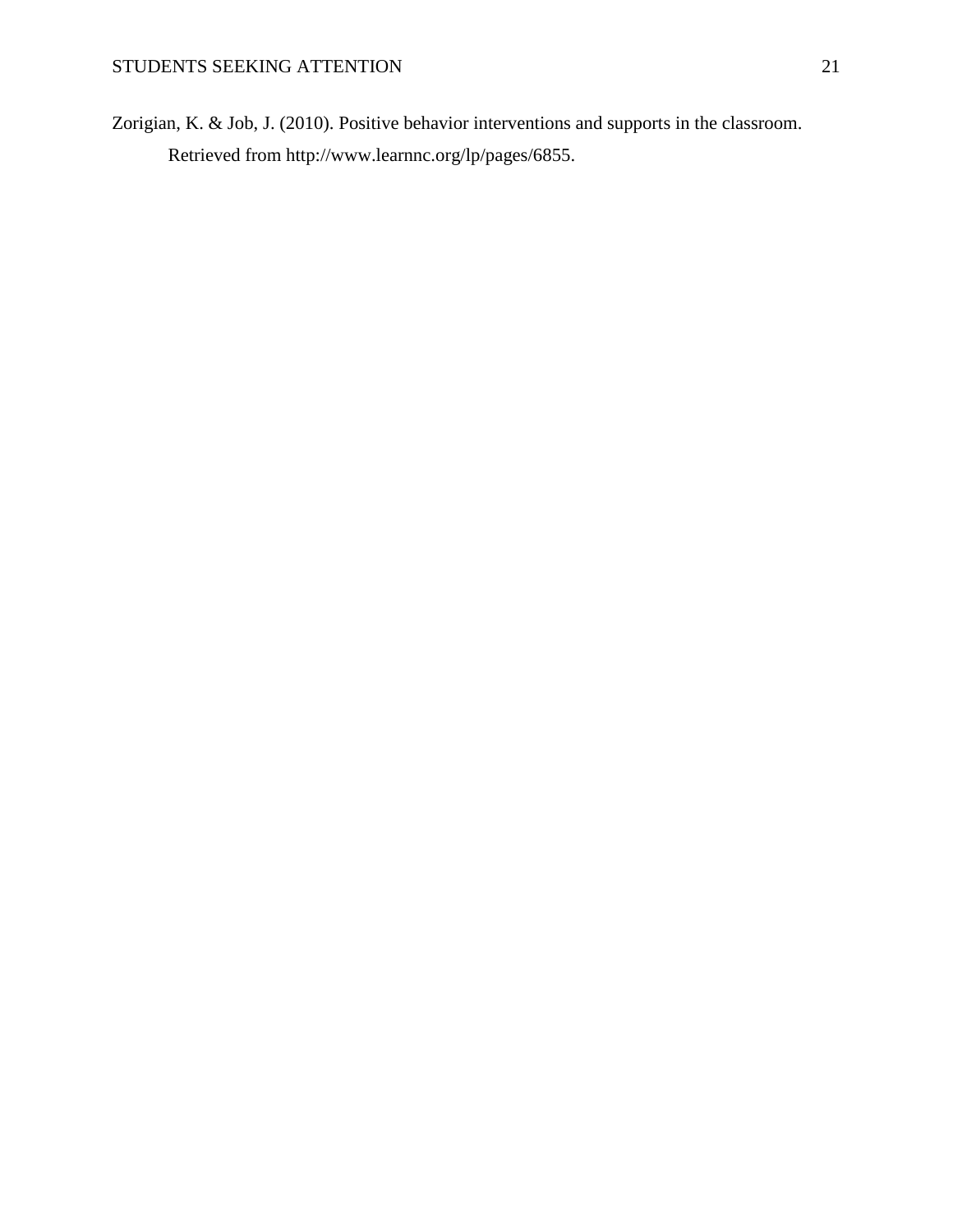Zorigian, K. & Job, J. (2010). Positive behavior interventions and supports in the classroom. Retrieved from http://www.learnnc.org/lp/pages/6855.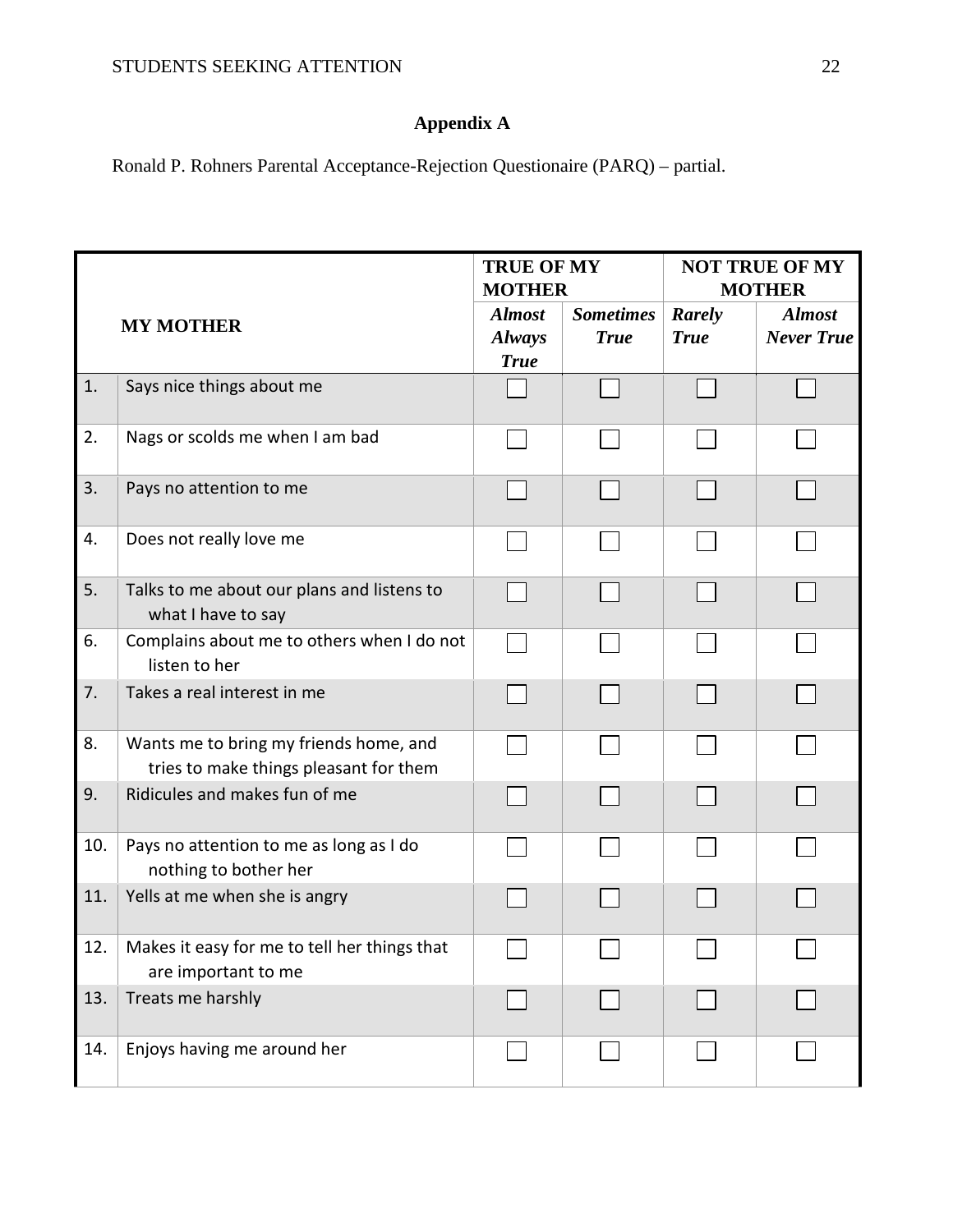# **Appendix A**

Ronald P. Rohners Parental Acceptance-Rejection Questionaire (PARQ) – partial.

|     |                                                                                  | <b>TRUE OF MY</b><br><b>MOTHER</b>            |                                 | <b>NOT TRUE OF MY</b><br><b>MOTHER</b> |                                    |
|-----|----------------------------------------------------------------------------------|-----------------------------------------------|---------------------------------|----------------------------------------|------------------------------------|
|     | <b>MY MOTHER</b>                                                                 | <b>Almost</b><br><b>Always</b><br><b>True</b> | <b>Sometimes</b><br><b>True</b> | Rarely<br><b>True</b>                  | <b>Almost</b><br><b>Never True</b> |
| 1.  | Says nice things about me                                                        |                                               |                                 |                                        |                                    |
| 2.  | Nags or scolds me when I am bad                                                  |                                               |                                 |                                        |                                    |
| 3.  | Pays no attention to me                                                          |                                               |                                 |                                        |                                    |
| 4.  | Does not really love me                                                          |                                               |                                 |                                        |                                    |
| 5.  | Talks to me about our plans and listens to<br>what I have to say                 |                                               |                                 |                                        |                                    |
| 6.  | Complains about me to others when I do not<br>listen to her                      |                                               |                                 |                                        |                                    |
| 7.  | Takes a real interest in me                                                      |                                               |                                 |                                        |                                    |
| 8.  | Wants me to bring my friends home, and<br>tries to make things pleasant for them |                                               |                                 |                                        |                                    |
| 9.  | Ridicules and makes fun of me                                                    |                                               |                                 |                                        |                                    |
| 10. | Pays no attention to me as long as I do<br>nothing to bother her                 |                                               |                                 |                                        |                                    |
| 11. | Yells at me when she is angry                                                    |                                               |                                 |                                        |                                    |
| 12. | Makes it easy for me to tell her things that<br>are important to me              |                                               |                                 |                                        |                                    |
| 13. | Treats me harshly                                                                |                                               |                                 |                                        |                                    |
| 14. | Enjoys having me around her                                                      |                                               |                                 |                                        |                                    |